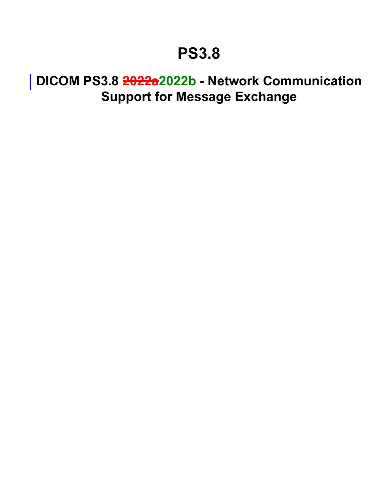# **PS3.8**

# <span id="page-0-0"></span>**DICOM PS3.8 2022a2022b - Network Communication Support for Message Exchange**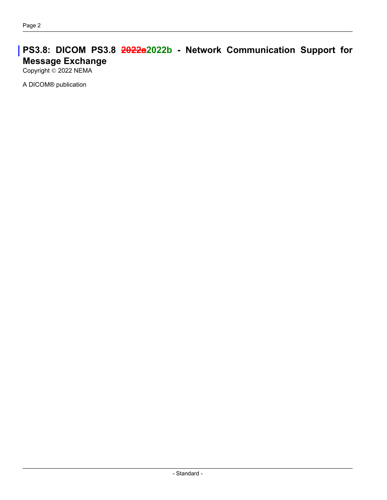# **PS3.8: DICOM PS3.8 2022a2022b - Network Communication Support for Message Exchange**

Copyright © 2022 NEMA

A DICOM® publication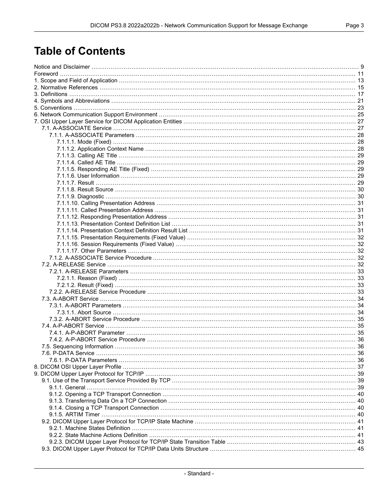# **Table of Contents**

| 7.5. Sequencing Information |  |
|-----------------------------|--|
|                             |  |
|                             |  |
|                             |  |
|                             |  |
|                             |  |
|                             |  |
|                             |  |
|                             |  |
|                             |  |
|                             |  |
|                             |  |
|                             |  |
|                             |  |
|                             |  |
|                             |  |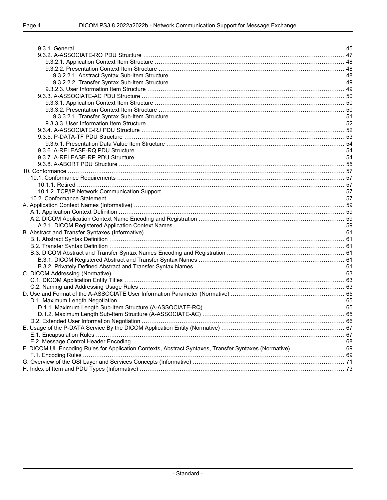| F. DICOM UL Encoding Rules for Application Contexts, Abstract Syntaxes, Transfer Syntaxes (Normative)  69 |  |
|-----------------------------------------------------------------------------------------------------------|--|
|                                                                                                           |  |
|                                                                                                           |  |
|                                                                                                           |  |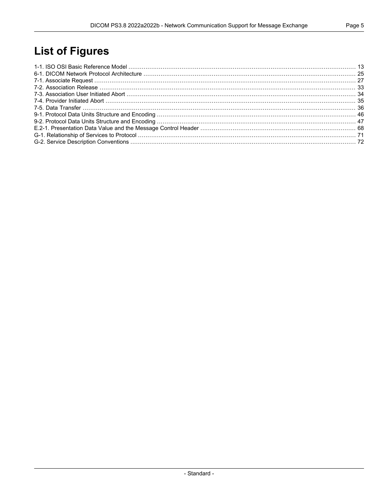Page 5

# **List of Figures**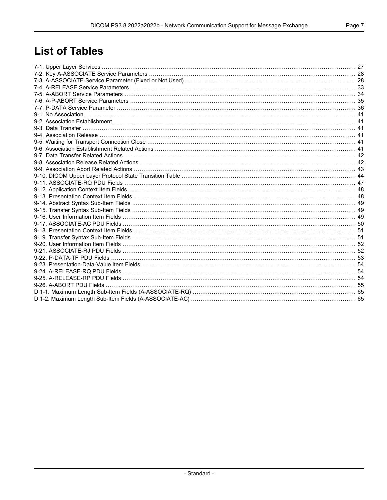# **List of Tables**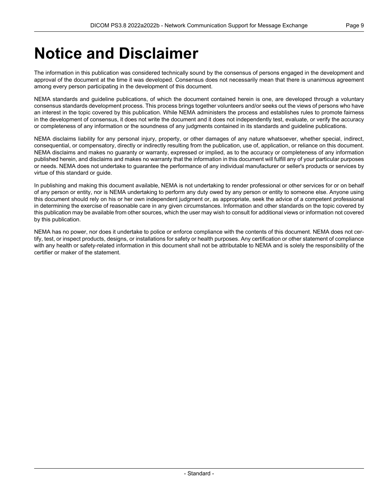# <span id="page-8-0"></span>**Notice and Disclaimer**

The information in this publication was considered technically sound by the consensus of persons engaged in the development and approval of the document at the time it was developed. Consensus does not necessarily mean that there is unanimous agreement among every person participating in the development of this document.

NEMA standards and guideline publications, of which the document contained herein is one, are developed through a voluntary consensus standards development process. This process brings together volunteers and/or seeks out the views of persons who have an interest in the topic covered by this publication. While NEMA administers the process and establishes rules to promote fairness in the development of consensus, it does not write the document and it does not independently test, evaluate, or verify the accuracy or completeness of any information or the soundness of any judgments contained in its standards and guideline publications.

NEMA disclaims liability for any personal injury, property, or other damages of any nature whatsoever, whether special, indirect, consequential, or compensatory, directly or indirectly resulting from the publication, use of, application, or reliance on this document. NEMA disclaims and makes no guaranty or warranty, expressed or implied, as to the accuracy or completeness of any information published herein, and disclaims and makes no warranty that the information in this document will fulfill any of your particular purposes or needs. NEMA does not undertake to guarantee the performance of any individual manufacturer or seller's products or services by virtue of this standard or guide.

In publishing and making this document available, NEMA is not undertaking to render professional or other services for or on behalf of any person or entity, nor is NEMA undertaking to perform any duty owed by any person or entity to someone else. Anyone using this document should rely on his or her own independent judgment or, as appropriate, seek the advice of a competent professional in determining the exercise of reasonable care in any given circumstances. Information and other standards on the topic covered by this publication may be available from other sources, which the user may wish to consult for additional views or information not covered by this publication.

NEMA has no power, nor does it undertake to police or enforce compliance with the contents of this document. NEMA does not cer tify, test, or inspect products, designs, or installations for safety or health purposes. Any certification or other statement of compliance with any health or safety-related information in this document shall not be attributable to NEMA and is solely the responsibility of the certifier or maker of the statement.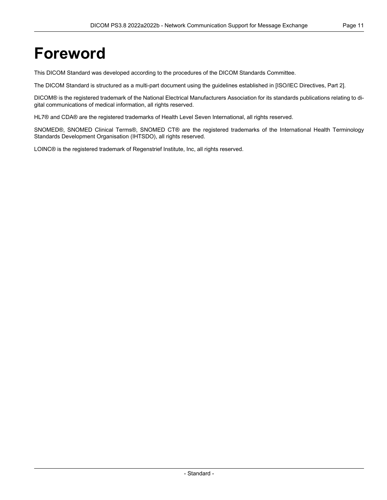# <span id="page-10-0"></span>**Foreword**

This DICOM Standard was developed according to the procedures of the DICOM Standards Committee.

The DICOM Standard is structured as a multi-part document using the guidelines established in [ISO/IEC [Directives,](#page-14-1) Part 2].

DICOM® is the registered trademark of the National Electrical Manufacturers Association for its standards publications relating to di gital communications of medical information, all rights reserved.

HL7® and CDA® are the registered trademarks of Health Level Seven International, all rights reserved.

SNOMED®, SNOMED Clinical Terms®, SNOMED CT® are the registered trademarks of the International Health Terminology Standards Development Organisation (IHTSDO), all rights reserved.

LOINC® is the registered trademark of Regenstrief Institute, Inc, all rights reserved.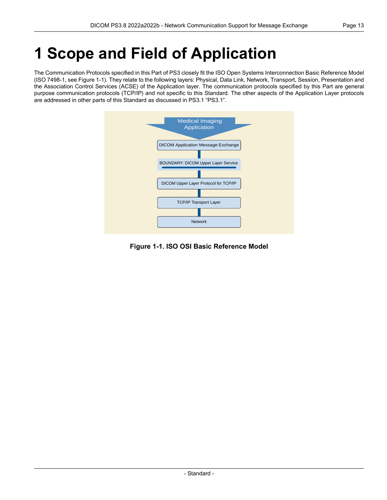# <span id="page-12-0"></span>**1 Scope and Field of Application**

<span id="page-12-1"></span>The Communication Protocols specified in this Part of PS3 closely fit the ISO Open Systems Interconnection Basic Reference Model (ISO 7498-1, see [Figure](#page-12-1) 1-1). They relate to the following layers: Physical, Data Link, Network, Transport, Session, Presentation and the Association Control Services (ACSE) of the Application layer. The communication protocols specified by this Part are general purpose communication protocols (TCP/IP) and not specific to this Standard. The other aspects of the Application Layer protocols are addressed in other parts of this Standard as discussed in PS3.1 ["PS3.1".](part01.pdf#PS3.1)



**Figure 1-1. ISO OSI Basic Reference Model**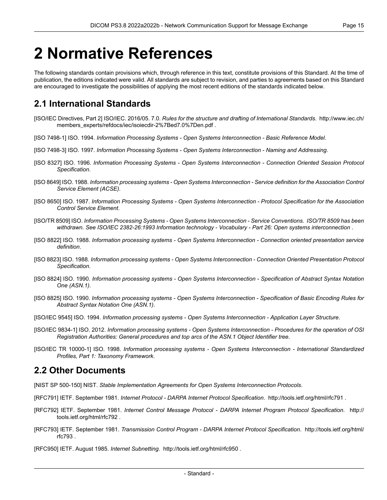# <span id="page-14-0"></span>**2 Normative References**

The following standards contain provisions which, through reference in this text, constitute provisions of this Standard. At the time of publication, the editions indicated were valid. All standards are subject to revision, and parties to agreements based on this Standard are encouraged to investigate the possibilities of applying the most recent editions of the standards indicated below.

# <span id="page-14-1"></span>**2.1 International Standards**

- <span id="page-14-2"></span>[ISO/IEC Directives, Part 2] ISO/IEC. 2016/05. 7.0. *Rules for the structure and drafting of International Standards*. [http://www.iec.ch/](http://www.iec.ch/members_experts/refdocs/iec/isoiecdir-2%7Bed7.0%7Den.pdf) [members\\_experts/refdocs/iec/isoiecdir-2%7Bed7.0%7Den.pdf](http://www.iec.ch/members_experts/refdocs/iec/isoiecdir-2%7Bed7.0%7Den.pdf) .
- <span id="page-14-3"></span>[ISO 7498-1] ISO. 1994. *Information Processing Systems - Open Systems Interconnection - Basic Reference Model*.
- [ISO 7498-3] ISO. 1997. *Information Processing Systems - Open Systems Interconnection - Naming and Addressing*.
- <span id="page-14-6"></span>[ISO 8327] ISO. 1996. *Information Processing Systems - Open Systems Interconnection - Connection Oriented Session Protocol Specification*.
- [ISO 8649] ISO. 1988. Information processing systems Open Systems Interconnection Service definition for the Association Control *Service Element (ACSE)*.
- <span id="page-14-4"></span>[ISO 8650] ISO. 1987. *Information Processing Systems - Open Systems Interconnection - Protocol Specification for the Association Control Service Element*.
- <span id="page-14-5"></span>[ISO/TR 8509] ISO. *Information Processing Systems - Open Systems Interconnection - Service Conventions*. *ISO/TR 8509 has been withdrawn. See ISO/IEC 2382-26:1993 Information technology - Vocabulary - Part 26: Open systems interconnection* .
- [ISO 8822] ISO. 1988. *Information processing systems - Open Systems Interconnection - Connection oriented presentation service definition*.
- [ISO 8823] ISO. 1988. *Information processing systems - Open Systems Interconnection - Connection Oriented Presentation Protocol Specification*.
- [ISO 8824] ISO. 1990. *Information processing systems - Open Systems Interconnection - Specification of Abstract Syntax Notation One (ASN.1)*.
- [ISO 8825] ISO. 1990. Information processing systems Open Systems Interconnection Specification of Basic Encoding Rules for *Abstract Syntax Notation One (ASN.1)*.
- [ISO/IEC 9545] ISO. 1994. *Information processing systems - Open Systems Interconnection - Application Layer Structure*.
- [ISO/IEC 9834-1] ISO. 2012. Information processing systems Open Systems Interconnection Procedures for the operation of OSI *Registration Authorities: General procedures and top arcs of the ASN.1 Object Identifier tree*.
- [ISO/IEC TR 10000-1] ISO. 1998. *Information processing systems - Open Systems Interconnection - International Standardized Profiles, Part 1: Taxonomy Framework*.

# **2.2 Other Documents**

- [NIST SP 500-150] NIST. *Stable Implementation Agreements for Open Systems Interconnection Protocols*.
- [RFC791] IETF. September 1981. *Internet Protocol - DARPA Internet Protocol Specification*. <http://tools.ietf.org/html/rfc791> .
- [RFC792] IETF. September 1981. *Internet Control Message Protocol - DARPA Internet Program Protocol Specification*. [http://](http://tools.ietf.org/html/rfc792) [tools.ietf.org/html/rfc792](http://tools.ietf.org/html/rfc792) .
- [RFC793] IETF. September 1981. *Transmission Control Program - DARPA Internet Protocol Specification*. [http://tools.ietf.org/html/](http://tools.ietf.org/html/rfc793) [rfc793](http://tools.ietf.org/html/rfc793) .
- [RFC950] IETF. August 1985. *Internet Subnetting*. <http://tools.ietf.org/html/rfc950> .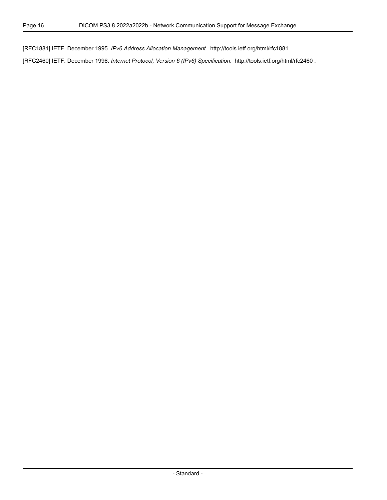[RFC1881] IETF. December 1995. *IPv6 Address Allocation Management*. <http://tools.ietf.org/html/rfc1881> .

[RFC2460] IETF. December 1998. *Internet Protocol, Version 6 (IPv6) Specification*. <http://tools.ietf.org/html/rfc2460> .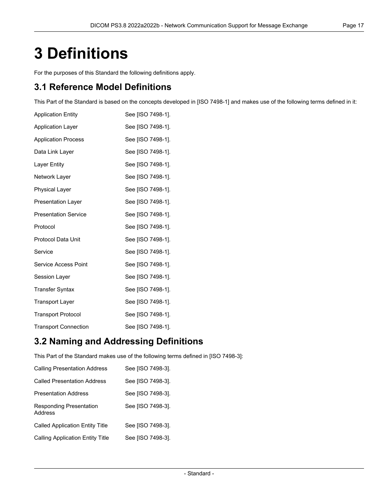# <span id="page-16-0"></span>**3 Definitions**

For the purposes of this Standard the following definitions apply.

# **3.1 Reference Model Definitions**

This Part of the Standard is based on the concepts developed in [ISO [7498-1\]](#page-14-2) and makes use of the following terms defined in it:

| <b>Application Entity</b>   | See [ISO 7498-1]. |
|-----------------------------|-------------------|
| <b>Application Layer</b>    | See [ISO 7498-1]. |
| <b>Application Process</b>  | See [ISO 7498-1]. |
| Data Link Layer             | See [ISO 7498-1]. |
| Layer Entity                | See [ISO 7498-1]. |
| Network Layer               | See [ISO 7498-1]. |
| <b>Physical Layer</b>       | See [ISO 7498-1]. |
| <b>Presentation Layer</b>   | See [ISO 7498-1]. |
| <b>Presentation Service</b> | See [ISO 7498-1]. |
| Protocol                    | See [ISO 7498-1]. |
| Protocol Data Unit          | See [ISO 7498-1]. |
| Service                     | See [ISO 7498-1]. |
| Service Access Point        | See [ISO 7498-1]. |
| Session Layer               | See [ISO 7498-1]. |
| <b>Transfer Syntax</b>      | See [ISO 7498-1]. |
| <b>Transport Layer</b>      | See [ISO 7498-1]. |
| <b>Transport Protocol</b>   | See [ISO 7498-1]. |
| <b>Transport Connection</b> | See [ISO 7498-1]. |

# **3.2 Naming and Addressing Definitions**

This Part of the Standard makes use of the following terms defined in [ISO [7498-3\]](#page-14-3):

| <b>Calling Presentation Address</b>       | See [ISO 7498-3]. |
|-------------------------------------------|-------------------|
| <b>Called Presentation Address</b>        | See [ISO 7498-3]. |
| <b>Presentation Address</b>               | See [ISO 7498-3]. |
| <b>Responding Presentation</b><br>Address | See [ISO 7498-3]. |
| <b>Called Application Entity Title</b>    | See [ISO 7498-3]. |
| <b>Calling Application Entity Title</b>   | See [ISO 7498-3]. |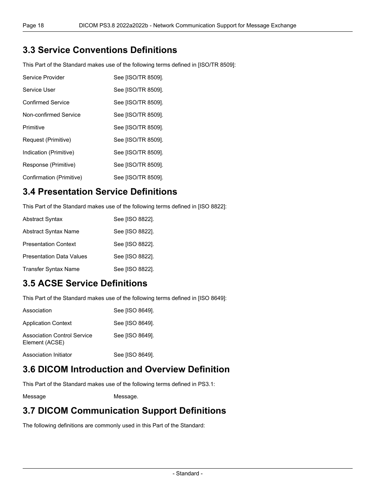# **3.3 Service Conventions Definitions**

This Part of the Standard makes use of the following terms defined in [\[ISO/TR](#page-14-4) 8509]:

| Service Provider         | See [ISO/TR 8509]. |
|--------------------------|--------------------|
| Service User             | See [ISO/TR 8509]. |
| <b>Confirmed Service</b> | See [ISO/TR 8509]. |
| Non-confirmed Service    | See [ISO/TR 8509]. |
| Primitive                | See [ISO/TR 8509]. |
| Request (Primitive)      | See [ISO/TR 8509]. |
| Indication (Primitive)   | See [ISO/TR 8509]. |
| Response (Primitive)     | See [ISO/TR 8509]. |
| Confirmation (Primitive) | See [ISO/TR 8509]. |

# **3.4 Presentation Service Definitions**

This Part of the Standard makes use of the following terms defined in [ISO [8822\]](#page-14-5):

| <b>Abstract Syntax</b>          | See [ISO 8822]. |
|---------------------------------|-----------------|
| Abstract Syntax Name            | See [ISO 8822]. |
| <b>Presentation Context</b>     | See [ISO 8822]. |
| <b>Presentation Data Values</b> | See [ISO 8822]. |
| <b>Transfer Syntax Name</b>     | See [ISO 8822]. |

# **3.5 ACSE Service Definitions**

This Part of the Standard makes use of the following terms defined in [ISO [8649\]](#page-14-6):

| Association                                          | See [ISO 8649]. |
|------------------------------------------------------|-----------------|
| <b>Application Context</b>                           | See [ISO 8649]. |
| <b>Association Control Service</b><br>Element (ACSE) | See [ISO 8649]. |
| Association Initiator                                | See [ISO 8649]. |

# **3.6 DICOM Introduction and Overview Definition**

This Part of the Standard makes use of the following terms defined in [PS3.1:](part01.pdf#PS3.1)

Message [Message.](part01.pdf#glossentry_Message)

# **3.7 DICOM Communication Support Definitions**

The following definitions are commonly used in this Part of the Standard: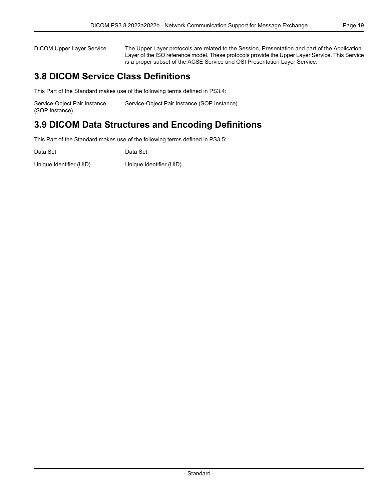DICOM Upper Layer Service The Upper Layer protocols are related to the Session, Presentation and part of the Application Layer of the ISO reference model. These protocols provide the Upper Layer Service. This Service is a proper subset of the ACSE Service and OSI Presentation Layer Service.

# **3.8 DICOM Service Class Definitions**

This Part of the Standard makes use of the following terms defined in [PS3.4:](part04.pdf#PS3.4)

| Service-Object Pair Instance | Service-Object Pair Instance (SOP Instance). |
|------------------------------|----------------------------------------------|
| (SOP Instance)               |                                              |

# **3.9 DICOM Data Structures and Encoding Definitions**

This Part of the Standard makes use of the following terms defined in [PS3.5:](part05.pdf#PS3.5)

| Data Set                | Data Set.                |
|-------------------------|--------------------------|
| Unique Identifier (UID) | Unique Identifier (UID). |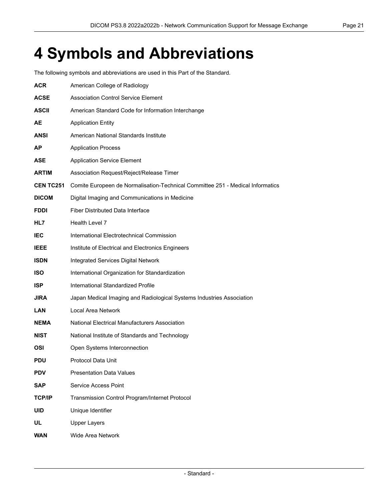# <span id="page-20-0"></span>**4 Symbols and Abbreviations**

The following symbols and abbreviations are used in this Part of the Standard.

| <b>ACR</b>       | American College of Radiology                                                  |
|------------------|--------------------------------------------------------------------------------|
| <b>ACSE</b>      | <b>Association Control Service Element</b>                                     |
| ASCII            | American Standard Code for Information Interchange                             |
| AE               | <b>Application Entity</b>                                                      |
| ANSI             | American National Standards Institute                                          |
| ΑP               | <b>Application Process</b>                                                     |
| ASE              | <b>Application Service Element</b>                                             |
| ARTIM            | Association Request/Reject/Release Timer                                       |
| <b>CEN TC251</b> | Comite Europeen de Normalisation-Technical Committee 251 - Medical Informatics |
| <b>DICOM</b>     | Digital Imaging and Communications in Medicine                                 |
| <b>FDDI</b>      | <b>Fiber Distributed Data Interface</b>                                        |
| HL7              | Health Level 7                                                                 |
| <b>IEC</b>       | International Electrotechnical Commission                                      |
| <b>IEEE</b>      | Institute of Electrical and Electronics Engineers                              |
| <b>ISDN</b>      | <b>Integrated Services Digital Network</b>                                     |
| <b>ISO</b>       | International Organization for Standardization                                 |
| <b>ISP</b>       | International Standardized Profile                                             |
| JIRA             | Japan Medical Imaging and Radiological Systems Industries Association          |
| <b>LAN</b>       | Local Area Network                                                             |
| <b>NEMA</b>      | National Electrical Manufacturers Association                                  |
| <b>NIST</b>      | National Institute of Standards and Technology                                 |
| OSI              | Open Systems Interconnection                                                   |
| PDU              | Protocol Data Unit                                                             |
| <b>PDV</b>       | <b>Presentation Data Values</b>                                                |
| <b>SAP</b>       | Service Access Point                                                           |
| <b>TCP/IP</b>    | Transmission Control Program/Internet Protocol                                 |
| <b>UID</b>       | Unique Identifier                                                              |
| UL               | <b>Upper Layers</b>                                                            |
| <b>WAN</b>       | Wide Area Network                                                              |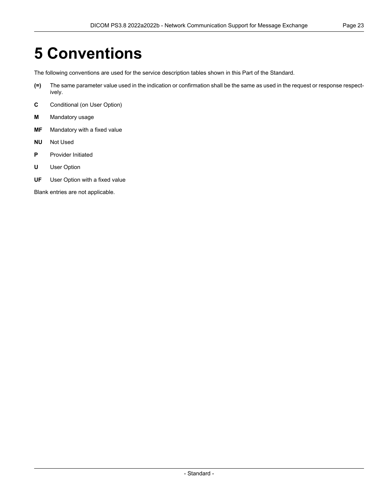# <span id="page-22-0"></span>**5 Conventions**

The following conventions are used for the service description tables shown in this Part of the Standard.

- **(=)** The same parameter value used in the indication or confirmation shall be the same as used in the request or response respect ively.
- **C** Conditional (on User Option)
- **M** Mandatory usage
- **MF** Mandatory with a fixed value
- **NU** Not Used
- **P** Provider Initiated
- **U** User Option
- **UF** User Option with a fixed value

Blank entries are not applicable.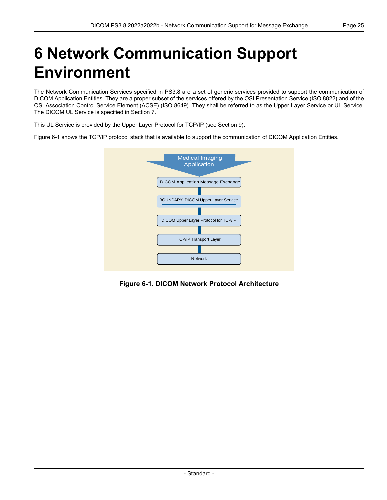# <span id="page-24-0"></span>**6 Network Communication Support Environment**

The Network Communication Services specified in [PS3.8](#page-0-0) are a set of generic services provided to support the communication of DICOM Application Entities. They are a proper subset of the services offered by the OSI Presentation Service (ISO 8822) and of the OSI Association Control Service Element (ACSE) (ISO 8649). They shall be referred to as the Upper Layer Service or UL Service. The DICOM UL Service is specified in Section 7.

This UL Service is provided by the Upper Layer Protocol for TCP/IP (see Section 9).

<span id="page-24-1"></span>[Figure](#page-24-1) 6-1 shows the TCP/IP protocol stack that is available to support the communication of DICOM Application Entities.



**Figure 6-1. DICOM Network Protocol Architecture**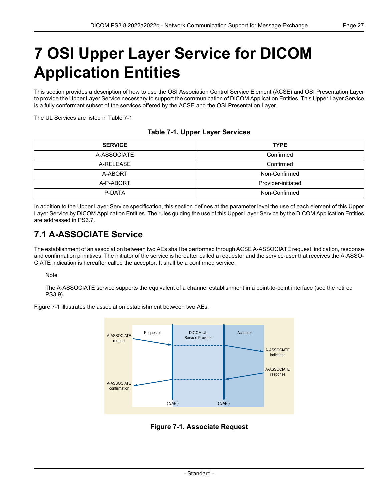# <span id="page-26-0"></span>**7 OSI Upper Layer Service for DICOM Application Entities**

This section provides a description of how to use the OSI Association Control Service Element (ACSE) and OSI Presentation Layer to provide the Upper Layer Service necessary to support the communication of DICOM Application Entities. This Upper Layer Service is a fully conformant subset of the services offered by the ACSE and the OSI Presentation Layer.

<span id="page-26-3"></span>The UL Services are listed in [Table](#page-26-3) 7-1.

#### **Table 7-1. Upper Layer Services**

| <b>SERVICE</b> | <b>TYPE</b>        |  |
|----------------|--------------------|--|
| A-ASSOCIATE    | Confirmed          |  |
| A-RELEASE      | Confirmed          |  |
| A-ABORT        | Non-Confirmed      |  |
| A-P-ABORT      | Provider-initiated |  |
| P-DATA         | Non-Confirmed      |  |

<span id="page-26-1"></span>In addition to the Upper Layer Service specification, this section defines at the parameter level the use of each element of this Upper Layer Service by DICOM Application Entities. The rules guiding the use of this Upper Layer Service by the DICOM Application Entities are addressed in [PS3.7.](part07.pdf#PS3.7)

# **7.1 A-ASSOCIATE Service**

The establishment of an association between two AEs shall be performed through ACSE A-ASSOCIATE request, indication, response and confirmation primitives. The initiator of the service is hereafter called a requestor and the service-user that receives the A-ASSO- CIATE indication is hereafter called the acceptor. It shall be a confirmed service.

#### Note

<span id="page-26-2"></span>The A-ASSOCIATE service supports the equivalent of a channel establishment in a point-to-point interface (see the retired PS3.9).

[Figure](#page-26-2) 7-1 illustrates the association establishment between two AEs.



**Figure 7-1. Associate Request**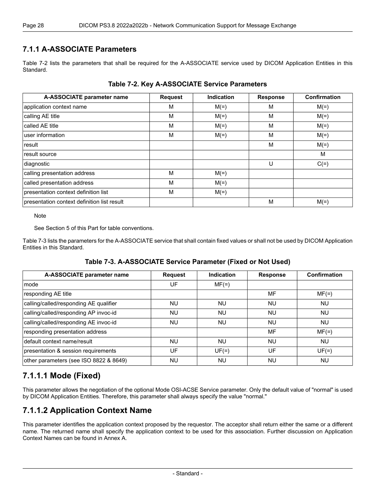#### <span id="page-27-0"></span>**7.1.1 A-ASSOCIATE Parameters**

<span id="page-27-3"></span>[Table](#page-27-3) 7-2 lists the parameters that shall be required for the A-ASSOCIATE service used by DICOM Application Entities in this Standard.

| A-ASSOCIATE parameter name                  | <b>Request</b> | Indication | <b>Response</b> | Confirmation |
|---------------------------------------------|----------------|------------|-----------------|--------------|
| application context name                    | M              | $M(=)$     | M               | $M(=)$       |
| calling AE title                            | M              | $M(=)$     | M               | $M(=)$       |
| called AE title                             | M              | $M(=)$     | M               | $M(=)$       |
| user information                            | M              | $M(=)$     | M               | $M(=)$       |
| result                                      |                |            | M               | $M(=)$       |
| result source                               |                |            |                 | M            |
| diagnostic                                  |                |            | U               | $C(=)$       |
| calling presentation address                | M              | $M(=)$     |                 |              |
| called presentation address                 | M              | $M(=)$     |                 |              |
| presentation context definition list        | M              | $M(=)$     |                 |              |
| presentation context definition list result |                |            | M               | $M(=)$       |

#### **Table 7-2. Key A-ASSOCIATE Service Parameters**

**Note** 

See Section 5 of this Part for table conventions.

<span id="page-27-4"></span>[Table](#page-27-4) 7-3 lists the parameters for the A-ASSOCIATE service that shall contain fixed values or shall not be used by DICOM Application Entities in this Standard.

#### **Table 7-3. A-ASSOCIATE Service Parameter (Fixed or Not Used)**

| A-ASSOCIATE parameter name             | <b>Request</b> | Indication | <b>Response</b> | Confirmation |
|----------------------------------------|----------------|------------|-----------------|--------------|
| mode                                   | UF             | $MF(=)$    |                 |              |
| responding AE title                    |                |            | MF              | $MF(=)$      |
| calling/called/responding AE qualifier | NU             | <b>NU</b>  | NU              | <b>NU</b>    |
| calling/called/responding AP invoc-id  | <b>NU</b>      | <b>NU</b>  | <b>NU</b>       | <b>NU</b>    |
| calling/called/responding AE invoc-id  | NU.            | <b>NU</b>  | <b>NU</b>       | <b>NU</b>    |
| responding presentation address        |                |            | MF              | $MF(=)$      |
| default context name/result            | NU             | <b>NU</b>  | <b>NU</b>       | <b>NU</b>    |
| presentation & session requirements    | UF             | $UF(=)$    | UF              | $UF(=)$      |
| other parameters (see ISO 8822 & 8649) | <b>NU</b>      | <b>NU</b>  | <b>NU</b>       | <b>NU</b>    |

# <span id="page-27-2"></span><span id="page-27-1"></span>**7.1.1.1 Mode (Fixed)**

This parameter allows the negotiation of the optional Mode OSI-ACSE Service parameter. Only the default value of "normal" is used by DICOM Application Entities. Therefore, this parameter shall always specify the value "normal."

# **7.1.1.2 Application Context Name**

This parameter identifies the application context proposed by the requestor. The acceptor shall return either the same or a different name. The returned name shall specify the application context to be used for this association. Further discussion on Application Context Names can be found in [Annex](#page-58-0) A.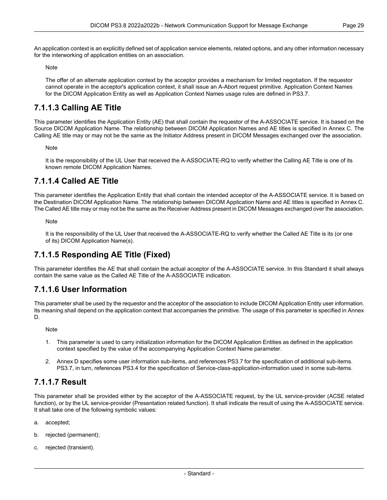The offer of an alternate application context by the acceptor provides a mechanism for limited negotiation. If the requestor cannot operate in the acceptor's application context, it shall issue an A-Abort request primitive. Application Context Names for the DICOM Application Entity as well as Application Context Names usage rules are defined in [PS3.7](part07.pdf#PS3.7).

### <span id="page-28-0"></span>**7.1.1.3 Calling AE Title**

This parameter identifies the Application Entity (AE) that shall contain the requestor of the A-ASSOCIATE service. It is based on the Source DICOM Application Name. The relationship between DICOM Application Names and AE titles is specified in [Annex](#page-62-0) C. The Calling AE title may or may not be the same as the Initiator Address present in DICOM Messages exchanged over the association.

Note

<span id="page-28-1"></span>It is the responsibility of the UL User that received the A-ASSOCIATE-RQ to verify whether the Calling AE Title is one of its known remote DICOM Application Names.

#### **7.1.1.4 Called AE Title**

This parameter identifies the Application Entity that shall contain the intended acceptor of the A-ASSOCIATE service. It is based on the Destination DICOM Application Name. The relationship between DICOM Application Name and AE titles is specified in [Annex](#page-62-0) C. The Called AE title may or may not be the same as the Receiver Address present in DICOM Messages exchanged over the association.

<span id="page-28-2"></span>**Note** 

It is the responsibility of the UL User that received the A-ASSOCIATE-RQ to verify whether the Called AE Title is its (or one of its) DICOM Application Name(s).

### <span id="page-28-3"></span>**7.1.1.5 Responding AE Title (Fixed)**

This parameter identifies the AE that shall contain the actual acceptor of the A-ASSOCIATE service. In this Standard it shall always contain the same value as the Called AE Title of the A-ASSOCIATE indication.

### **7.1.1.6 User Information**

This parameter shall be used by the requestor and the acceptor of the association to include DICOM Application Entity user information. Its meaning shall depend on the application context that accompanies the primitive. The usage of this parameter is specified in [Annex](#page-64-0) [D](#page-64-0).

**Note** 

- <span id="page-28-4"></span>1. This parameter is used to carry initialization information for the DICOM Application Entities as defined in the application context specified by the value of the accompanying Application Context Name parameter.
- 2. [Annex](#page-64-0) D specifies some user information sub-items, and references [PS3.7](part07.pdf#PS3.7) for the specification of additional sub-items. [PS3.7](part07.pdf#PS3.7), in turn, references [PS3.4](part04.pdf#PS3.4) for the specification of Service-class-application-information used in some sub-items.

#### **7.1.1.7 Result**

This parameter shall be provided either by the acceptor of the A-ASSOCIATE request, by the UL service-provider (ACSE related function), or by the UL service-provider (Presentation related function). It shall indicate the result of using the A-ASSOCIATE service. It shall take one of the following symbolic values:

- a. accepted;
- b. rejected (permanent);
- c. rejected (transient).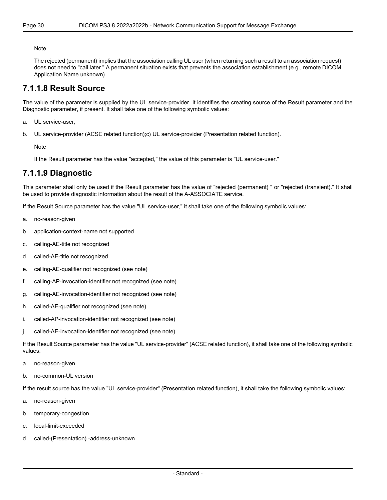The rejected (permanent) implies that the association calling UL user (when returning such a result to an association request) does not need to "call later." A permanent situation exists that prevents the association establishment (e.g., remote DICOM Application Name unknown).

#### <span id="page-29-0"></span>**7.1.1.8 Result Source**

The value of the parameter is supplied by the UL service-provider. It identifies the creating source of the Result parameter and the Diagnostic parameter, if present. It shall take one of the following symbolic values:

- a. UL service-user;
- b. UL service-provider (ACSE related function);c) UL service-provider (Presentation related function).

<span id="page-29-1"></span>Note

If the Result parameter has the value "accepted," the value of this parameter is "UL service-user."

#### **7.1.1.9 Diagnostic**

This parameter shall only be used if the Result parameter has the value of "rejected (permanent) " or "rejected (transient)." It shall be used to provide diagnostic information about the result of the A-ASSOCIATE service.

If the Result Source parameter has the value "UL service-user," it shall take one of the following symbolic values:

- a. no-reason-given
- b. application-context-name not supported
- c. calling-AE-title not recognized
- d. called-AE-title not recognized
- e. calling-AE-qualifier not recognized (see note)
- f. calling-AP-invocation-identifier not recognized (see note)
- g. calling-AE-invocation-identifier not recognized (see note)
- h. called-AE-qualifier not recognized (see note)
- i. called-AP-invocation-identifier not recognized (see note)
- j. called-AE-invocation-identifier not recognized (see note)

If the Result Source parameter has the value "UL service-provider" (ACSE related function), it shall take one of the following symbolic values:

- a. no-reason-given
- b. no-common-UL version

If the result source has the value "UL service-provider" (Presentation related function), it shall take the following symbolic values:

- a. no-reason-given
- b. temporary-congestion
- c. local-limit-exceeded
- d. called-(Presentation) -address-unknown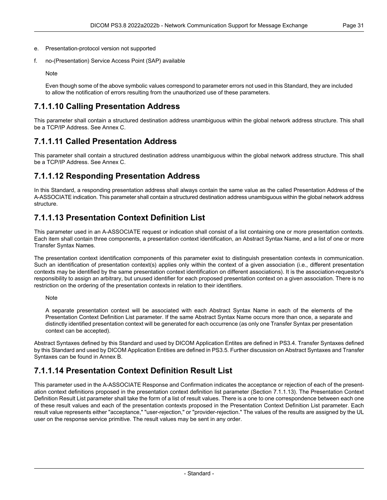- e. Presentation-protocol version not supported
- f. no-(Presentation) Service Access Point (SAP) available

<span id="page-30-0"></span>Even though some of the above symbolic values correspond to parameter errors not used in this Standard, they are included to allow the notification of errors resulting from the unauthorized use of these parameters.

### **7.1.1.10 Calling Presentation Address**

<span id="page-30-1"></span>This parameter shall contain a structured destination address unambiguous within the global network address structure. This shall be a TCP/IP Address. See [Annex](#page-62-0) C.

### **7.1.1.11 Called Presentation Address**

<span id="page-30-2"></span>This parameter shall contain a structured destination address unambiguous within the global network address structure. This shall be a TCP/IP Address. See [Annex](#page-62-0) C.

### **7.1.1.12 Responding Presentation Address**

<span id="page-30-3"></span>In this Standard, a responding presentation address shall always contain the same value as the called Presentation Address of the A-ASSOCIATE indication. This parameter shall contain a structured destination address unambiguous within the global network address structure.

# **7.1.1.13 Presentation Context Definition List**

This parameter used in an A-ASSOCIATE request or indication shall consist of a list containing one or more presentation contexts. Each item shall contain three components, a presentation context identification, an Abstract Syntax Name, and a list of one or more Transfer Syntax Names.

The presentation context identification components of this parameter exist to distinguish presentation contexts in communication. Such an identification of presentation context(s) applies only within the context of a given association (i.e., different presentation contexts may be identified by the same presentation context identification on different associations). It is the association-requestor's responsibility to assign an arbitrary, but unused identifier for each proposed presentation context on a given association. There is no restriction on the ordering of the presentation contexts in relation to their identifiers.

Note

A separate presentation context will be associated with each Abstract Syntax Name in each of the elements of the Presentation Context Definition List parameter. If the same Abstract Syntax Name occurs more than once, a separate and distinctly identified presentation context will be generated for each occurrence (as only one Transfer Syntax per presentation context can be accepted).

<span id="page-30-4"></span>Abstract Syntaxes defined by this Standard and used by DICOM Application Entites are defined in [PS3.4.](part04.pdf#PS3.4) Transfer Syntaxes defined by this Standard and used by DICOM Application Entities are defined in [PS3.5.](part05.pdf#PS3.5) Further discussion on Abstract Syntaxes and Transfer Syntaxes can be found in [Annex](#page-60-0) B.

# **7.1.1.14 Presentation Context Definition Result List**

This parameter used in the A-ASSOCIATE Response and Confirmation indicates the acceptance or rejection of each of the present ation context definitions proposed in the presentation context definition list parameter (Section [7.1.1.13](#page-30-3)). The Presentation Context Definition Result List parameter shall take the form of a list of result values. There is a one to one correspondence between each one of these result values and each of the presentation contexts proposed in the Presentation Context Definition List parameter. Each result value represents either "acceptance," "user-rejection," or "provider-rejection." The values of the results are assigned by the UL user on the response service primitive. The result values may be sent in any order.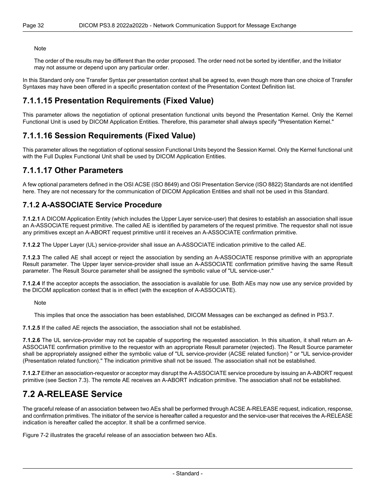The order of the results may be different than the order proposed. The order need not be sorted by identifier, and the Initiator may not assume or depend upon any particular order.

<span id="page-31-0"></span>In this Standard only one Transfer Syntax per presentation context shall be agreed to, even though more than one choice of Transfer Syntaxes may have been offered in a specific presentation context of the Presentation Context Definition list.

### **7.1.1.15 Presentation Requirements (Fixed Value)**

<span id="page-31-1"></span>This parameter allows the negotiation of optional presentation functional units beyond the Presentation Kernel. Only the Kernel Functional Unit is used by DICOM Application Entities. Therefore, this parameter shall always specify "Presentation Kernel."

### **7.1.1.16 Session Requirements (Fixed Value)**

<span id="page-31-2"></span>This parameter allows the negotiation of optional session Functional Units beyond the Session Kernel. Only the Kernel functional unit with the Full Duplex Functional Unit shall be used by DICOM Application Entities.

#### **7.1.1.17 Other Parameters**

<span id="page-31-3"></span>A few optional parameters defined in the OSI ACSE (ISO 8649) and OSI Presentation Service (ISO 8822) Standards are not identified here. They are not necessary for the communication of DICOM Application Entities and shall not be used in this Standard.

#### **7.1.2 A-ASSOCIATE Service Procedure**

**7.1.2.1** A DICOM Application Entity (which includes the Upper Layer service-user) that desires to establish an association shall issue an A-ASSOCIATE request primitive. The called AE is identified by parameters of the request primitive. The requestor shall not issue any primitives except an A-ABORT request primitive until it receives an A-ASSOCIATE confirmation primitive.

**7.1.2.2** The Upper Layer (UL) service-provider shall issue an A-ASSOCIATE indication primitive to the called AE.

**7.1.2.3** The called AE shall accept or reject the association by sending an A-ASSOCIATE response primitive with an appropriate Result parameter. The Upper layer service-provider shall issue an A-ASSOCIATE confirmation primitive having the same Result parameter. The Result Source parameter shall be assigned the symbolic value of "UL service-user."

**7.1.2.4** If the acceptor accepts the association, the association is available for use. Both AEs may now use any service provided by the DICOM application context that is in effect (with the exception of A-ASSOCIATE).

Note

This implies that once the association has been established, DICOM Messages can be exchanged as defined in [PS3.7.](part07.pdf#PS3.7)

**7.1.2.5** If the called AE rejects the association, the association shall not be established.

<span id="page-31-4"></span>**7.1.2.6** The UL service-provider may not be capable of supporting the requested association. In this situation, it shall return an A- ASSOCIATE confirmation primitive to the requestor with an appropriate Result parameter (rejected). The Result Source parameter shall be appropriately assigned either the symbolic value of "UL service-provider (ACSE related function) " or "UL service-provider (Presentation related function)." The indication primitive shall not be issued. The association shall not be established.

**7.1.2.7** Either an association-requestor or acceptor may disrupt the A-ASSOCIATE service procedure by issuing an A-ABORT request primitive (see [Section](#page-33-0) 7.3). The remote AE receives an A-ABORT indication primitive. The association shall not be established.

# **7.2 A-RELEASE Service**

The graceful release of an association between two AEs shall be performed through ACSE A-RELEASE request, indication, response, and confirmation primitives. The initiator of the service is hereafter called a requestor and the service-user that receives the A-RELEASE indication is hereafter called the acceptor. It shall be a confirmed service.

[Figure](#page-32-4) 7-2 illustrates the graceful release of an association between two AEs.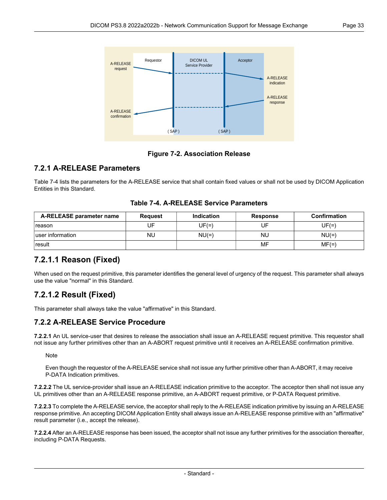<span id="page-32-4"></span>

**Figure 7-2. Association Release**

#### <span id="page-32-0"></span>**7.2.1 A-RELEASE Parameters**

<span id="page-32-5"></span>[Table](#page-32-5) 7-4 lists the parameters for the A-RELEASE service that shall contain fixed values or shall not be used by DICOM Application Entities in this Standard.

<span id="page-32-1"></span>

| A-RELEASE parameter name | Request | <b>Indication</b> | <b>Response</b> | <b>Confirmation</b> |
|--------------------------|---------|-------------------|-----------------|---------------------|
| reason                   | UF      | $UF(=)$           | UF              | UF(=)               |
| luser information        | NU      | $NU(=)$           | NU              | $NU(=)$             |
| result                   |         |                   | MF              | $MF(=)$             |

#### **Table 7-4. A-RELEASE Service Parameters**

### <span id="page-32-2"></span>**7.2.1.1 Reason (Fixed)**

When used on the request primitive, this parameter identifies the general level of urgency of the request. This parameter shall always use the value "normal" in this Standard.

# <span id="page-32-3"></span>**7.2.1.2 Result (Fixed)**

This parameter shall always take the value "affirmative" in this Standard.

#### **7.2.2 A-RELEASE Service Procedure**

**7.2.2.1** An UL service-user that desires to release the association shall issue an A-RELEASE request primitive. This requestor shall not issue any further primitives other than an A-ABORT request primitive until it receives an A-RELEASE confirmation primitive.

**Note** 

Even though the requestor of the A-RELEASE service shall not issue any further primitive other than A-ABORT, it may receive P-DATA Indication primitives.

**7.2.2.2** The UL service-provider shall issue an A-RELEASE indication primitive to the acceptor. The acceptor then shall not issue any UL primitives other than an A-RELEASE response primitive, an A-ABORT request primitive, or P-DATA Request primitive.

**7.2.2.3** To complete the A-RELEASE service, the acceptor shall reply to the A-RELEASE indication primitive by issuing an A-RELEASE response primitive. An accepting DICOM Application Entity shall always issue an A-RELEASE response primitive with an "affirmative" result parameter (i.e., accept the release).

**7.2.2.4** After an A-RELEASE response has been issued, the acceptor shall not issue any further primitives for the association thereafter, including P-DATA Requests.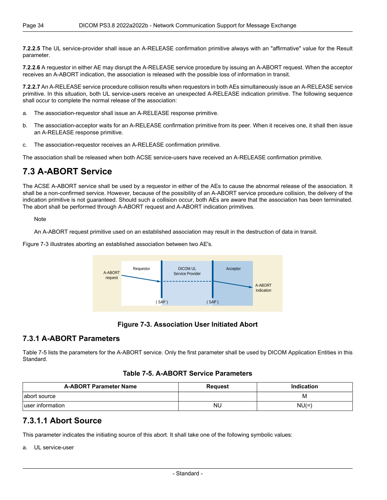**7.2.2.5** The UL service-provider shall issue an A-RELEASE confirmation primitive always with an "affirmative" value for the Result parameter.

**7.2.2.6** A requestor in either AE may disrupt the A-RELEASE service procedure by issuing an A-ABORT request. When the acceptor receives an A-ABORT indication, the association is released with the possible loss of information in transit.

**7.2.2.7** An A-RELEASE service procedure collision results when requestors in both AEs simultaneously issue an A-RELEASE service primitive. In this situation, both UL service-users receive an unexpected A-RELEASE indication primitive. The following sequence shall occur to complete the normal release of the association:

- a. The association-requestor shall issue an A-RELEASE response primitive.
- b. The association-acceptor waits for an A-RELEASE confirmation primitive from its peer. When it receives one, it shall then issue an A-RELEASE response primitive.
- <span id="page-33-0"></span>c. The association-requestor receives an A-RELEASE confirmation primitive.

The association shall be released when both ACSE service-users have received an A-RELEASE confirmation primitive.

# **7.3 A-ABORT Service**

The ACSE A-ABORT service shall be used by a requestor in either of the AEs to cause the abnormal release of the association. It shall be a non-confirmed service. However, because of the possibility of an A-ABORT service procedure collision, the delivery of the indication primitive is not guaranteed. Should such a collision occur, both AEs are aware that the association has been terminated. The abort shall be performed through A-ABORT request and A-ABORT indication primitives.

**Note** 

<span id="page-33-3"></span>An A-ABORT request primitive used on an established association may result in the destruction of data in transit.

[Figure](#page-33-3) 7-3 illustrates aborting an established association between two AE's.



#### **Figure 7-3. Association User Initiated Abort**

#### <span id="page-33-4"></span><span id="page-33-1"></span>**7.3.1 A-ABORT Parameters**

[Table](#page-33-4) 7-5 lists the parameters for the A-ABORT service. Only the first parameter shall be used by DICOM Application Entities in this Standard.

#### **Table 7-5. A-ABORT Service Parameters**

<span id="page-33-2"></span>

| <b>A-ABORT Parameter Name</b> | Request   | <b>Indication</b> |
|-------------------------------|-----------|-------------------|
| abort source                  |           | M                 |
| luser information             | <b>NU</b> | $NU(=)$           |

#### **7.3.1.1 Abort Source**

This parameter indicates the initiating source of this abort. It shall take one of the following symbolic values:

a. UL service-user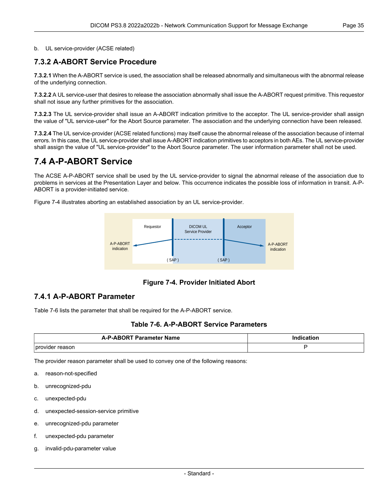#### <span id="page-34-0"></span>b. UL service-provider (ACSE related)

#### **7.3.2 A-ABORT Service Procedure**

**7.3.2.1** When the A-ABORT service is used, the association shall be released abnormally and simultaneous with the abnormal release of the underlying connection.

**7.3.2.2** A UL service-user that desires to release the association abnormally shall issue the A-ABORT request primitive. This requestor shall not issue any further primitives for the association.

**7.3.2.3** The UL service-provider shall issue an A-ABORT indication primitive to the acceptor. The UL service-provider shall assign the value of "UL service-user" for the Abort Source parameter. The association and the underlying connection have been released.

<span id="page-34-1"></span>**7.3.2.4** The UL service-provider (ACSE related functions) may itself cause the abnormal release of the association because of internal errors. In this case, the UL service-provider shall issue A-ABORT indication primitives to acceptors in both AEs. The UL service-provider shall assign the value of "UL service-provider" to the Abort Source parameter. The user information parameter shall not be used.

### **7.4 A-P-ABORT Service**

The ACSE A-P-ABORT service shall be used by the UL service-provider to signal the abnormal release of the association due to problems in services at the Presentation Layer and below. This occurrence indicates the possible loss of information in transit. A-P- ABORT is a provider-initiated service.

<span id="page-34-3"></span>[Figure](#page-34-3) 7-4 illustrates aborting an established association by an UL service-provider.



**Figure 7-4. Provider Initiated Abort**

#### <span id="page-34-4"></span><span id="page-34-2"></span>**7.4.1 A-P-ABORT Parameter**

[Table](#page-34-4) 7-6 lists the parameter that shall be required for the A-P-ABORT service.

#### **Table 7-6. A-P-ABORT Service Parameters**

| <b>A-P-ARORT Parameter Name</b> | ------ |  |
|---------------------------------|--------|--|
|                                 |        |  |
|                                 |        |  |
| provi<br>asor<br>$  -$          |        |  |

The provider reason parameter shall be used to convey one of the following reasons:

- a. reason-not-specified
- b. unrecognized-pdu
- c. unexpected-pdu
- d. unexpected-session-service primitive
- e. unrecognized-pdu parameter
- f. unexpected-pdu parameter
- g. invalid-pdu-parameter value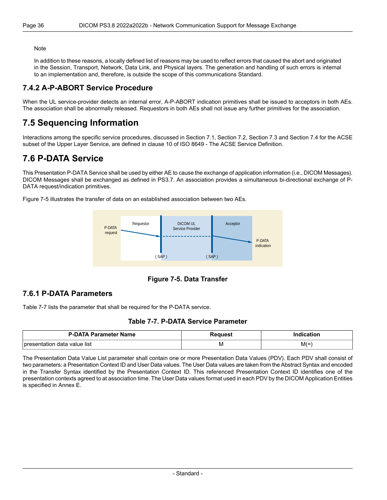In addition to these reasons, a locally defined list of reasons may be used to reflect errors that caused the abort and originated in the Session, Transport, Network, Data Link, and Physical layers. The generation and handling of such errors is internal to an implementation and, therefore, is outside the scope of this communications Standard.

#### <span id="page-35-0"></span>**7.4.2 A-P-ABORT Service Procedure**

<span id="page-35-1"></span>When the UL service-provider detects an internal error, A-P-ABORT indication primitives shall be issued to acceptors in both AEs. The association shall be abnormally released. Requestors in both AEs shall not issue any further primitives for the association.

# **7.5 Sequencing Information**

<span id="page-35-2"></span>Interactions among the specific service procedures, discussed in [Section](#page-26-1) 7.1, [Section](#page-31-4) 7.2, [Section](#page-33-0) 7.3 and [Section](#page-34-1) 7.4 for the ACSE subset of the Upper Layer Service, are defined in clause 10 of ISO 8649 - The ACSE Service Definition.

# **7.6 P-DATA Service**

This Presentation P-DATA Service shall be used by either AE to cause the exchange of application information (i.e., DICOM Messages). DICOM Messages shall be exchanged as defined in [PS3.7.](part07.pdf#PS3.7) An association provides a simultaneous bi-directional exchange of P- DATA request/indication primitives.

<span id="page-35-4"></span>[Figure](#page-35-4) 7-5 illustrates the transfer of data on an established association between two AEs.



**Figure 7-5. Data Transfer**

#### <span id="page-35-5"></span><span id="page-35-3"></span>**7.6.1 P-DATA Parameters**

[Table](#page-35-5) 7-7 lists the parameter that shall be required for the P-DATA service.

#### **Table 7-7. P-DATA Service Parameter**

| <b>P-DATA Parameter Name</b>         | seanes: |       |
|--------------------------------------|---------|-------|
| value list<br>data<br>nres<br>птаног | 1 V I   | $M(=$ |

The Presentation Data Value List parameter shall contain one or more Presentation Data Values (PDV). Each PDV shall consist of two parameters: a Presentation Context ID and User Data values. The User Data values are taken from the Abstract Syntax and encoded in the Transfer Syntax identified by the Presentation Context ID. This referenced Presentation Context ID identifies one of the presentation contexts agreed to at association time. The User Data values format used in each PDV by the DICOM Application Entities is specified in [Annex](#page-66-0) E.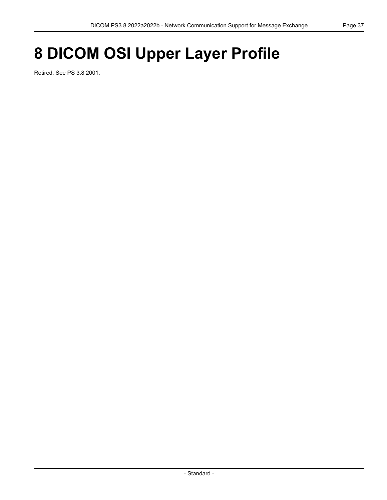# **8 DICOM OSI Upper Layer Profile**

Retired. See PS 3.8 2001.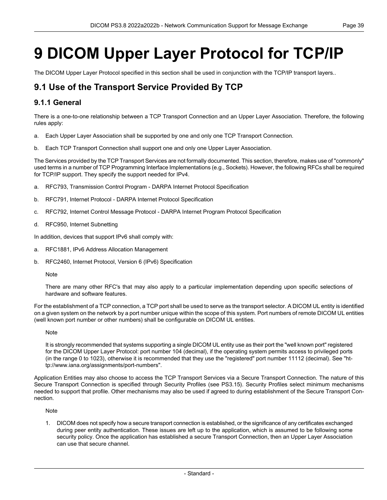# **9 DICOM Upper Layer Protocol for TCP/IP**

The DICOM Upper Layer Protocol specified in this section shall be used in conjunction with the TCP/IP transport layers..

## **9.1 Use of the Transport Service Provided By TCP**

## **9.1.1 General**

There is a one-to-one relationship between a TCP Transport Connection and an Upper Layer Association. Therefore, the following rules apply:

- a. Each Upper Layer Association shall be supported by one and only one TCP Transport Connection.
- b. Each TCP Transport Connection shall support one and only one Upper Layer Association.

The Services provided by the TCP Transport Services are not formally documented. This section, therefore, makes use of "commonly" used terms in a number of TCP Programming Interface Implementations (e.g., Sockets). However, the following RFCs shall be required for TCP/IP support. They specify the support needed for IPv4.

- a. RFC793, Transmission Control Program DARPA Internet Protocol Specification
- b. RFC791, Internet Protocol DARPA Internet Protocol Specification
- c. RFC792, Internet Control Message Protocol DARPA Internet Program Protocol Specification
- d. RFC950, Internet Subnetting

In addition, devices that support IPv6 shall comply with:

- a. RFC1881, IPv6 Address Allocation Management
- b. RFC2460, Internet Protocol, Version 6 (IPv6) Specification

#### Note

There are many other RFC's that may also apply to a particular implementation depending upon specific selections of hardware and software features.

For the establishment of a TCP connection, a TCP port shall be used to serve as the transport selector. A DICOM UL entity is identified on a given system on the network by a port number unique within the scope of this system. Port numbers of remote DICOM UL entities (well known port number or other numbers) shall be configurable on DICOM UL entities.

#### **Note**

It is strongly recommended that systems supporting a single DICOM UL entity use as their port the "well known port" registered for the DICOM Upper Layer Protocol: port number 104 (decimal), if the operating system permits access to privileged ports (in the range 0 to 1023), otherwise it is recommended that they use the "registered" port number 11112 (decimal). See "ht tp://www.iana.org/assignments/port-numbers".

Application Entities may also choose to access the TCP Transport Services via a Secure Transport Connection. The nature of this Secure Transport Connection is specified through Security Profiles (see [PS3.15](part15.pdf#PS3.15)). Security Profiles select minimum mechanisms needed to support that profile. Other mechanisms may also be used if agreed to during establishment of the Secure Transport Con nection.

#### Note

1. DICOM does not specify how a secure transport connection is established, or the significance of any certificates exchanged during peer entity authentication. These issues are left up to the application, which is assumed to be following some security policy. Once the application has established a secure Transport Connection, then an Upper Layer Association can use that secure channel.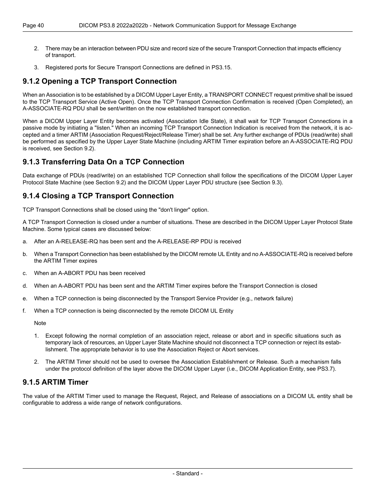- 2. There may be an interaction between PDU size and record size of the secure Transport Connection that impacts efficiency of transport.
- 3. Registered ports for Secure Transport Connections are defined in [PS3.15](part15.pdf#PS3.15).

## **9.1.2 Opening a TCP Transport Connection**

When an Association is to be established by a DICOM Upper Layer Entity, a TRANSPORT CONNECT request primitive shall be issued to the TCP Transport Service (Active Open). Once the TCP Transport Connection Confirmation is received (Open Completed), an A-ASSOCIATE-RQ PDU shall be sent/written on the now established transport connection.

When a DICOM Upper Layer Entity becomes activated (Association Idle State), it shall wait for TCP Transport Connections in a passive mode by initiating a "listen." When an incoming TCP Transport Connection Indication is received from the network, it is ac cepted and a timer ARTIM (Association Request/Reject/Release Timer) shall be set. Any further exchange of PDUs (read/write) shall be performed as specified by the Upper Layer State Machine (including ARTIM Timer expiration before an A-ASSOCIATE-RQ PDU is received, see [Section](#page-40-0) 9.2).

## **9.1.3 Transferring Data On a TCP Connection**

Data exchange of PDUs (read/write) on an established TCP Connection shall follow the specifications of the DICOM Upper Layer Protocol State Machine (see [Section](#page-40-0) 9.2) and the DICOM Upper Layer PDU structure (see [Section](#page-44-0) 9.3).

## **9.1.4 Closing a TCP Transport Connection**

TCP Transport Connections shall be closed using the "don't linger" option.

A TCP Transport Connection is closed under a number of situations. These are described in the DICOM Upper Layer Protocol State Machine. Some typical cases are discussed below:

- a. After an A-RELEASE-RQ has been sent and the A-RELEASE-RP PDU is received
- b. When a Transport Connection has been established by the DICOM remote UL Entity and no A-ASSOCIATE-RQ is received before the ARTIM Timer expires
- c. When an A-ABORT PDU has been received
- d. When an A-ABORT PDU has been sent and the ARTIM Timer expires before the Transport Connection is closed
- e. When a TCP connection is being disconnected by the Transport Service Provider (e.g., network failure)
- f. When a TCP connection is being disconnected by the remote DICOM UL Entity

**Note** 

- 1. Except following the normal completion of an association reject, release or abort and in specific situations such as temporary lack of resources, an Upper Layer State Machine should not disconnect a TCP connection or reject its estab lishment. The appropriate behavior is to use the Association Reject or Abort services.
- 2. The ARTIM Timer should not be used to oversee the Association Establishment or Release. Such a mechanism falls under the protocol definition of the layer above the DICOM Upper Layer (i.e., DICOM Application Entity, see [PS3.7\)](part07.pdf#PS3.7).

## **9.1.5 ARTIM Timer**

The value of the ARTIM Timer used to manage the Request, Reject, and Release of associations on a DICOM UL entity shall be configurable to address a wide range of network configurations.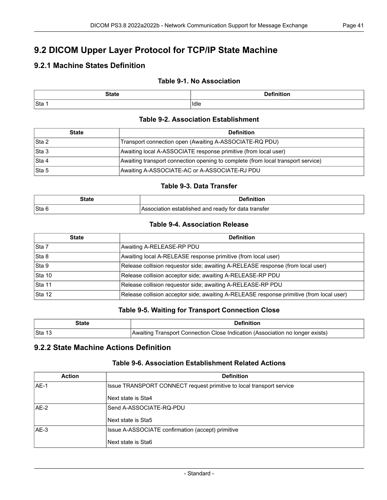# <span id="page-40-0"></span>**9.2 DICOM Upper Layer Protocol for TCP/IP State Machine**

## **9.2.1 Machine States Definition**

## **Table 9-1. No Association**

| $C+0+0$<br>ວເaເe<br>- - - - - | .    |
|-------------------------------|------|
| <sup>l</sup> Sta √            | Idle |

### **Table 9-2. Association Establishment**

| <b>State</b> | <b>Definition</b>                                                                |  |  |  |  |  |  |  |
|--------------|----------------------------------------------------------------------------------|--|--|--|--|--|--|--|
| Sta 2        | Transport connection open (Awaiting A-ASSOCIATE-RQ PDU)                          |  |  |  |  |  |  |  |
| Sta 3        | Awaiting local A-ASSOCIATE response primitive (from local user)                  |  |  |  |  |  |  |  |
| Sta 4        | Awaiting transport connection opening to complete (from local transport service) |  |  |  |  |  |  |  |
| Sta 5        | Awaiting A-ASSOCIATE-AC or A-ASSOCIATE-RJ PDU                                    |  |  |  |  |  |  |  |

### **Table 9-3. Data Transfer**

| State  | <b>Definition</b>                                   |
|--------|-----------------------------------------------------|
| ∣Sta 6 | Association established and ready for data transfer |

#### **Table 9-4. Association Release**

| <b>State</b> | <b>Definition</b>                                                                        |  |  |  |  |  |  |
|--------------|------------------------------------------------------------------------------------------|--|--|--|--|--|--|
| Sta 7        | Awaiting A-RELEASE-RP PDU                                                                |  |  |  |  |  |  |
| Sta 8        | Awaiting local A-RELEASE response primitive (from local user)                            |  |  |  |  |  |  |
| Sta 9        | Release collision requestor side; awaiting A-RELEASE response (from local user)          |  |  |  |  |  |  |
| Sta 10       | Release collision acceptor side; awaiting A-RELEASE-RP PDU                               |  |  |  |  |  |  |
| Sta 11       | Release collision requestor side; awaiting A-RELEASE-RP PDU                              |  |  |  |  |  |  |
| Sta 12       | Release collision acceptor side; awaiting A-RELEASE response primitive (from local user) |  |  |  |  |  |  |

### **Table 9-5. Waiting for Transport Connection Close**

| State  | <b>Definition</b>                                                             |
|--------|-------------------------------------------------------------------------------|
| Sta 13 | Awaiting Transport Connection Close Indication (Association no longer exists) |

## **9.2.2 State Machine Actions Definition**

## **Table 9-6. Association Establishment Related Actions**

| <b>Action</b> | <b>Definition</b>                                                    |  |  |  |  |  |
|---------------|----------------------------------------------------------------------|--|--|--|--|--|
| $AE-1$        | Issue TRANSPORT CONNECT request primitive to local transport service |  |  |  |  |  |
|               | Next state is Sta4                                                   |  |  |  |  |  |
| AE-2          | Send A-ASSOCIATE-RQ-PDU                                              |  |  |  |  |  |
|               | Next state is Sta5                                                   |  |  |  |  |  |
| IAE-3         | Issue A-ASSOCIATE confirmation (accept) primitive                    |  |  |  |  |  |
|               | Next state is Sta6                                                   |  |  |  |  |  |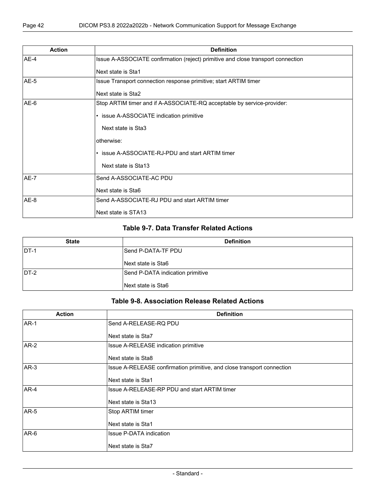| <b>Action</b> | <b>Definition</b>                                                                |
|---------------|----------------------------------------------------------------------------------|
| $AE-4$        | Issue A-ASSOCIATE confirmation (reject) primitive and close transport connection |
|               | Next state is Sta1                                                               |
| AE-5          | Issue Transport connection response primitive; start ARTIM timer                 |
|               | Next state is Sta2                                                               |
| $AE-6$        | Stop ARTIM timer and if A-ASSOCIATE-RQ acceptable by service-provider:           |
|               | • issue A-ASSOCIATE indication primitive                                         |
|               | Next state is Sta3                                                               |
|               | otherwise:                                                                       |
|               | • issue A-ASSOCIATE-RJ-PDU and start ARTIM timer                                 |
|               | Next state is Sta13                                                              |
| AE-7          | Send A-ASSOCIATE-AC PDU                                                          |
|               | Next state is Sta6                                                               |
| AE-8          | Send A-ASSOCIATE-RJ PDU and start ARTIM timer                                    |
|               | Next state is STA13                                                              |

## **Table 9-7. Data Transfer Related Actions**

| <b>State</b> | <b>Definition</b>                |  |  |  |  |  |  |  |
|--------------|----------------------------------|--|--|--|--|--|--|--|
| IDT-1        | Send P-DATA-TF PDU               |  |  |  |  |  |  |  |
|              | Next state is Sta6               |  |  |  |  |  |  |  |
| $DT-2$       | Send P-DATA indication primitive |  |  |  |  |  |  |  |
|              | Next state is Sta6               |  |  |  |  |  |  |  |

### **Table 9-8. Association Release Related Actions**

| <b>Action</b> | <b>Definition</b>                                                      |  |  |  |  |  |  |  |
|---------------|------------------------------------------------------------------------|--|--|--|--|--|--|--|
| <b>AR-1</b>   | Send A-RELEASE-RQ PDU                                                  |  |  |  |  |  |  |  |
|               | Next state is Sta7                                                     |  |  |  |  |  |  |  |
| $AR-2$        | Issue A-RELEASE indication primitive                                   |  |  |  |  |  |  |  |
|               | Next state is Sta8                                                     |  |  |  |  |  |  |  |
| $AR-3$        | Issue A-RELEASE confirmation primitive, and close transport connection |  |  |  |  |  |  |  |
|               | Next state is Sta1                                                     |  |  |  |  |  |  |  |
| $AR-4$        | Issue A-RELEASE-RP PDU and start ARTIM timer                           |  |  |  |  |  |  |  |
|               | Next state is Sta13                                                    |  |  |  |  |  |  |  |
| <b>AR-5</b>   | Stop ARTIM timer                                                       |  |  |  |  |  |  |  |
|               | Next state is Sta1                                                     |  |  |  |  |  |  |  |
| $AR-6$        | <b>Issue P-DATA indication</b>                                         |  |  |  |  |  |  |  |
|               | Next state is Sta7                                                     |  |  |  |  |  |  |  |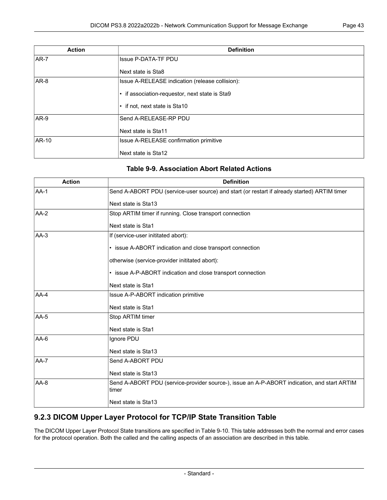| <b>Action</b> | <b>Definition</b>                               |
|---------------|-------------------------------------------------|
| $AR-7$        | <b>Issue P-DATA-TF PDU</b>                      |
|               | Next state is Sta8                              |
| $AR-8$        | Issue A-RELEASE indication (release collision): |
|               | • if association-requestor, next state is Sta9  |
|               | • if not, next state is Sta10                   |
| $AR-9$        | Send A-RELEASE-RP PDU                           |
|               | Next state is Sta11                             |
| AR-10         | Issue A-RELEASE confirmation primitive          |
|               | Next state is Sta12                             |

## **Table 9-9. Association Abort Related Actions**

| <b>Action</b> | <b>Definition</b>                                                                                    |  |  |  |  |  |  |  |  |
|---------------|------------------------------------------------------------------------------------------------------|--|--|--|--|--|--|--|--|
| $AA-1$        | Send A-ABORT PDU (service-user source) and start (or restart if already started) ARTIM timer         |  |  |  |  |  |  |  |  |
|               | Next state is Sta13                                                                                  |  |  |  |  |  |  |  |  |
| $AA-2$        | Stop ARTIM timer if running. Close transport connection                                              |  |  |  |  |  |  |  |  |
|               | Next state is Sta1                                                                                   |  |  |  |  |  |  |  |  |
| AA-3          | If (service-user inititated abort):                                                                  |  |  |  |  |  |  |  |  |
|               | • issue A-ABORT indication and close transport connection                                            |  |  |  |  |  |  |  |  |
|               | otherwise (service-provider inititated abort):                                                       |  |  |  |  |  |  |  |  |
|               | • issue A-P-ABORT indication and close transport connection                                          |  |  |  |  |  |  |  |  |
|               | Next state is Sta1                                                                                   |  |  |  |  |  |  |  |  |
| $AA-4$        | Issue A-P-ABORT indication primitive                                                                 |  |  |  |  |  |  |  |  |
|               | Next state is Sta1                                                                                   |  |  |  |  |  |  |  |  |
| $AA-5$        | Stop ARTIM timer                                                                                     |  |  |  |  |  |  |  |  |
|               | Next state is Sta1                                                                                   |  |  |  |  |  |  |  |  |
| AA-6          | Ignore PDU                                                                                           |  |  |  |  |  |  |  |  |
|               | Next state is Sta13                                                                                  |  |  |  |  |  |  |  |  |
| $AA-7$        | Send A-ABORT PDU                                                                                     |  |  |  |  |  |  |  |  |
|               | Next state is Sta13                                                                                  |  |  |  |  |  |  |  |  |
| $AA-8$        | Send A-ABORT PDU (service-provider source-), issue an A-P-ABORT indication, and start ARTIM<br>timer |  |  |  |  |  |  |  |  |
|               | Next state is Sta13                                                                                  |  |  |  |  |  |  |  |  |

## **9.2.3 DICOM Upper Layer Protocol for TCP/IP State Transition Table**

The DICOM Upper Layer Protocol State transitions are specified in [Table](#page-43-0) 9-10. This table addresses both the normal and error cases for the protocol operation. Both the called and the calling aspects of an association are described in this table.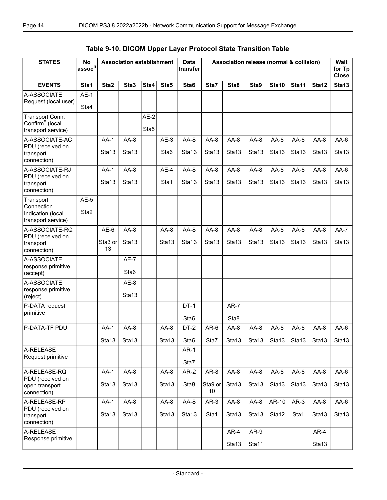## **Table 9-10. DICOM Upper Layer Protocol State Transition Table**

<span id="page-43-0"></span>

| <b>STATES</b>                                                        | No<br>$\mathsf{assoc}^{\mathsf{n}}$ | <b>Association establishment</b> |                             |                |                             | Data<br>transfer            | Association release (normal & collision) |                             |                             |                             |                             | Wait<br>for Tp<br><b>Close</b> |                           |
|----------------------------------------------------------------------|-------------------------------------|----------------------------------|-----------------------------|----------------|-----------------------------|-----------------------------|------------------------------------------|-----------------------------|-----------------------------|-----------------------------|-----------------------------|--------------------------------|---------------------------|
| <b>EVENTS</b>                                                        | Sta1                                | Sta2                             | Sta3                        | Sta4           | Sta5                        | Sta6                        | Sta7                                     | Sta8                        | Sta9                        | Sta10                       | Sta11                       | Sta12                          | Sta13                     |
| A-ASSOCIATE<br>Request (local user)                                  | $AE-1$<br>Sta4                      |                                  |                             |                |                             |                             |                                          |                             |                             |                             |                             |                                |                           |
| Transport Conn.<br>Confirm <sup>n</sup> (local<br>transport service) |                                     |                                  |                             | $AE-2$<br>Sta5 |                             |                             |                                          |                             |                             |                             |                             |                                |                           |
| A-ASSOCIATE-AC<br>PDU (received on<br>transport<br>connection)       |                                     | $AA-1$<br>Sta13                  | $AA-8$<br>Sta <sub>13</sub> |                | $AE-3$<br>Sta <sub>6</sub>  | $AA-8$<br>Sta13             | $AA-8$<br>Sta <sub>13</sub>              | $AA-8$<br>Sta <sub>13</sub> | $AA-8$<br>Sta <sub>13</sub> | $AA-8$<br>Sta13             | $AA-8$<br>Sta <sub>13</sub> | $AA-8$<br>Sta <sub>13</sub>    | AA-6<br>Sta13             |
| A-ASSOCIATE-RJ<br>PDU (received on<br>transport<br>connection)       |                                     | $AA-1$<br>Sta13                  | $AA-8$<br>Sta13             |                | $AE-4$<br>Sta1              | $AA-8$<br>Sta13             | $AA-8$<br>Sta13                          | $AA-8$<br>Sta13             | $AA-8$<br>Sta13             | $AA-8$<br>Sta13             | $AA-8$<br>Sta13             | $AA-8$<br>Sta13                | $AA-6$<br>Sta13           |
| Transport<br>Connection<br>Indication (local<br>transport service)   | $AE-5$<br>Sta <sub>2</sub>          |                                  |                             |                |                             |                             |                                          |                             |                             |                             |                             |                                |                           |
| A-ASSOCIATE-RQ<br>PDU (received on<br>transport<br>connection)       |                                     | $AE-6$<br>Sta3 or<br>13          | $AA-8$<br>Sta <sub>13</sub> |                | $AA-8$<br>Sta <sub>13</sub> | $AA-8$<br>Sta <sub>13</sub> | $AA-8$<br>Sta <sub>13</sub>              | $AA-8$<br>Sta <sub>13</sub> | $AA-8$<br>Sta <sub>13</sub> | $AA-8$<br>Sta <sub>13</sub> | $AA-8$<br>Sta <sub>13</sub> | $AA-8$<br>Sta <sub>13</sub>    | AA-7<br>Sta <sub>13</sub> |
| A-ASSOCIATE<br>response primitive<br>(accept)                        |                                     |                                  | $AE-7$<br>Sta <sub>6</sub>  |                |                             |                             |                                          |                             |                             |                             |                             |                                |                           |
| A-ASSOCIATE<br>response primitive<br>(reject)                        |                                     |                                  | $AE-8$<br>Sta13             |                |                             |                             |                                          |                             |                             |                             |                             |                                |                           |
| P-DATA request<br>primitive                                          |                                     |                                  |                             |                |                             | $DT-1$<br>Sta <sub>6</sub>  |                                          | $AR-7$<br>Sta8              |                             |                             |                             |                                |                           |
| P-DATA-TF PDU                                                        |                                     | $AA-1$<br>Sta13                  | $AA-8$<br>Sta13             |                | AA-8<br>Sta13               | DT-2<br>Sta6                | $AR-6$<br>Sta7                           | $AA-8$<br>Sta13             | $AA-8$<br>Sta13             | $AA-8$<br>Sta13             | $AA-8$<br>Sta13             | $AA-8$<br>Sta13                | AA-6<br>Sta13             |
| A-RELEASE<br>Request primitive                                       |                                     |                                  |                             |                |                             | $AR-1$<br>Sta7              |                                          |                             |                             |                             |                             |                                |                           |
| A-RELEASE-RQ<br>PDU (received on<br>open transport<br>connection)    |                                     | $AA-1$<br>Sta13                  | AA-8<br>Sta13               |                | AA-8<br>Sta13               | $AR-2$<br>Sta8              | AR-8<br>Sta9 or<br>10 <sup>°</sup>       | AA-8<br>Sta13               | AA-8<br>Sta13               | AA-8<br>Sta13               | AA-8<br>Sta13               | AA-8<br>Sta13                  | AA-6<br>Sta13             |
| A-RELEASE-RP<br>PDU (received on<br>transport<br>connection)         |                                     | $AA-1$<br>Sta13                  | $AA-8$<br>Sta13             |                | AA-8<br>Sta13               | AA-8<br>Sta13               | $AR-3$<br>Sta1                           | $AA-8$<br>Sta13             | AA-8<br>Sta13               | AR-10<br>Sta12              | $AR-3$<br>Sta1              | AA-8<br>Sta13                  | AA-6<br>Sta13             |
| A-RELEASE<br>Response primitive                                      |                                     |                                  |                             |                |                             |                             |                                          | $AR-4$<br>Sta13             | AR-9<br>Sta11               |                             |                             | $AR-4$<br>Sta13                |                           |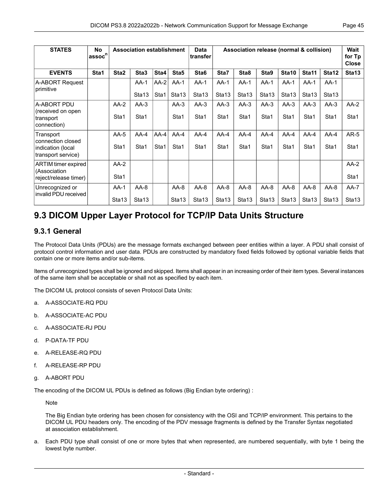| <b>STATES</b>                           | <b>No</b><br>lassoc <sup>n</sup> i |                   | <b>Association establishment</b> |        |                   | Data<br>transfer  |                   | Association release (normal & collision) |                   |                   |                   |                   | <b>Wait</b><br>for Tp<br><b>Close</b> |
|-----------------------------------------|------------------------------------|-------------------|----------------------------------|--------|-------------------|-------------------|-------------------|------------------------------------------|-------------------|-------------------|-------------------|-------------------|---------------------------------------|
| <b>EVENTS</b>                           | Sta1                               | Sta <sub>2</sub>  | Sta <sub>3</sub>                 | Sta4   | Sta5              | Sta <sub>6</sub>  | Sta7              | Sta8                                     | Sta9              | Sta10             | Sta11             | Sta <sub>12</sub> | Sta <sub>13</sub>                     |
| A-ABORT Request<br>primitive            |                                    |                   | $AA-1$                           | $AA-2$ | $AA-1$            | $AA-1$            | $AA-1$            | $AA-1$                                   | $AA-1$            | $AA-1$            | $AA-1$            | $AA-1$            |                                       |
|                                         |                                    |                   | Sta <sub>13</sub>                | Sta1   | Sta <sub>13</sub> | Sta <sub>13</sub> | Sta <sub>13</sub> | Sta <sub>13</sub>                        | Sta <sub>13</sub> | Sta <sub>13</sub> | Sta <sub>13</sub> | Sta <sub>13</sub> |                                       |
| A-ABORT PDU<br>(received on open)       |                                    | $AA-2$            | $AA-3$                           |        | $AA-3$            | $AA-3$            | $AA-3$            | $AA-3$                                   | $AA-3$            | $AA-3$            | $AA-3$            | $AA-3$            | $AA-2$                                |
| transport<br>connection)                |                                    | Sta1              | Sta1                             |        | Sta1              | Sta1              | Sta1              | Sta1                                     | Sta1              | Sta1              | Sta1              | Sta1              | Sta1                                  |
| Transport<br>connection closed          |                                    | $AA-5$            | $AA-4$                           | $AA-4$ | $AA-4$            | $AA-4$            | $AA-4$            | $AA-4$                                   | $AA-4$            | $AA-4$            | $AA-4$            | $AA-4$            | $AR-5$                                |
| indication (local<br>transport service) |                                    | Sta1              | Sta1                             | Sta1   | Sta1              | Sta1              | Sta1              | Sta1                                     | Sta1              | Sta1              | Sta1              | Sta1              | Sta1                                  |
| ARTIM timer expired<br>(Association     |                                    | $AA-2$            |                                  |        |                   |                   |                   |                                          |                   |                   |                   |                   | $AA-2$                                |
| reject/release timer)                   |                                    | Sta1              |                                  |        |                   |                   |                   |                                          |                   |                   |                   |                   | Sta1                                  |
| Unrecognized or<br>invalid PDU received |                                    | $AA-1$            | $AA-8$                           |        | $AA-8$            | $AA-8$            | $AA-8$            | $AA-8$                                   | $AA-8$            | $AA-8$            | $AA-8$            | $AA-8$            | $AA-7$                                |
|                                         |                                    | Sta <sub>13</sub> | Sta13                            |        | Sta <sub>13</sub> | Sta13             | Sta13             | Sta13                                    | Sta13             | Sta13             | Sta13             | Sta <sub>13</sub> | Sta <sub>13</sub>                     |

## <span id="page-44-0"></span>**9.3 DICOM Upper Layer Protocol for TCP/IP Data Units Structure**

## **9.3.1 General**

The Protocol Data Units (PDUs) are the message formats exchanged between peer entities within a layer. A PDU shall consist of protocol control information and user data. PDUs are constructed by mandatory fixed fields followed by optional variable fields that contain one or more items and/or sub-items.

Items of unrecognized types shall be ignored and skipped. Items shall appear in an increasing order of their item types. Several instances of the same item shall be acceptable or shall not as specified by each item.

The DICOM UL protocol consists of seven Protocol Data Units:

- a. A-ASSOCIATE-RQ PDU
- b. A-ASSOCIATE-AC PDU
- c. A-ASSOCIATE-RJ PDU
- d. P-DATA-TF PDU
- e. A-RELEASE-RQ PDU
- f. A-RELEASE-RP PDU
- g. A-ABORT PDU

The encoding of the DICOM UL PDUs is defined as follows (Big Endian byte ordering) :

Note

The Big Endian byte ordering has been chosen for consistency with the OSI and TCP/IP environment. This pertains to the DICOM UL PDU headers only. The encoding of the PDV message fragments is defined by the Transfer Syntax negotiated at association establishment.

a. Each PDU type shall consist of one or more bytes that when represented, are numbered sequentially, with byte 1 being the lowest byte number.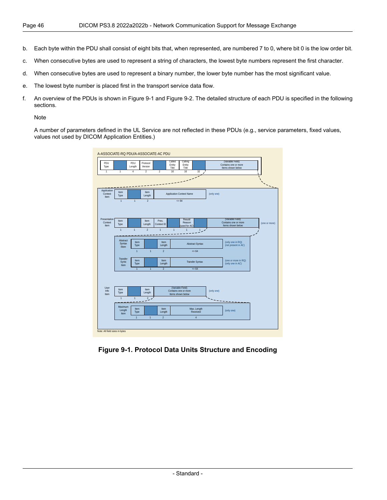- b. Each byte within the PDU shall consist of eight bits that, when represented, are numbered 7 to 0, where bit 0 is the low order bit.
- c. When consecutive bytes are used to represent a string of characters, the lowest byte numbers represent the first character.
- d. When consecutive bytes are used to represent a binary number, the lower byte number has the most significant value.
- e. The lowest byte number is placed first in the transport service data flow.
- f. An overview of the PDUs is shown in [Figure](#page-45-0) 9-1 and [Figure](#page-46-0) 9-2. The detailed structure of each PDU is specified in the following sections.

#### Note

<span id="page-45-0"></span>A number of parameters defined in the UL Service are not reflected in these PDUs (e.g., service parameters, fixed values, values not used by DICOM Application Entities.)

| PDU<br>Type<br>$\overline{1}$   | $\overline{1}$                 | PDU<br>Length<br>$\overline{4}$ | Protocol<br>Version<br>$\overline{2}$ | $\overline{2}$                        | Called<br>Calling<br>Entity<br>Entity<br>Title<br>Title<br>16<br>16   | 32                               |            | (Variable Field)<br>Contains one or more<br>Items shown below |               |
|---------------------------------|--------------------------------|---------------------------------|---------------------------------------|---------------------------------------|-----------------------------------------------------------------------|----------------------------------|------------|---------------------------------------------------------------|---------------|
|                                 |                                |                                 |                                       |                                       |                                                                       |                                  |            |                                                               | $\ddot{z}$    |
| Application<br>Context<br>Item  | Item<br>Type<br>$\overline{1}$ | $\overline{1}$                  | Item<br>Length<br>$\overline{2}$      |                                       | Application Context Name<br>$= 64$                                    |                                  | (only one) |                                                               |               |
| Presentation<br>Context<br>Item | Item<br>Type<br>$\overline{1}$ | $\overline{1}$                  | Item<br>Length<br>$\overline{2}$      | Pres.<br>Context ID<br>$\overline{1}$ | Result/<br>Reason<br>used for AC)<br>$\overline{1}$<br>$\overline{1}$ | $\mathbf{1}$                     |            | (Variable Field)<br>Contains one or more<br>Items shown below | (one or more) |
|                                 | Abstract<br>Syntax<br>litem    | Item<br>Type<br>$\overline{1}$  | $\overline{1}$                        | Item<br>Length<br>$\overline{2}$      |                                                                       | <b>Abstract Syntax</b><br>$= 64$ |            | (only one in RQ)<br>(not present in AC)                       |               |
|                                 | Transfer<br>Syntx<br>Item      | Item<br>Type<br>$\overline{1}$  | $\overline{1}$                        | Item<br>Length<br>$\overline{2}$      |                                                                       | <b>Transfer Syntax</b><br>$= 64$ |            | (one or more in RQ)<br>(only one in AC)                       |               |
| User                            |                                |                                 |                                       |                                       | (Variable Field)                                                      |                                  |            |                                                               |               |
| Info<br>Item                    | Item<br>Type<br>$\overline{1}$ | $\overline{1}$                  | Item<br>Length<br>$\overline{2}$      |                                       | Contains one or more<br>Items shown below                             |                                  | (only one) |                                                               |               |
|                                 | Maximum<br>Length<br>Item      | Item<br>Type                    |                                       | Item<br>Length                        |                                                                       | Max. Length<br>Received          |            | (only one)                                                    |               |
|                                 |                                | $\overline{1}$                  | $\overline{1}$                        | $\overline{2}$                        |                                                                       | $\overline{4}$                   |            |                                                               |               |

**Figure 9-1. Protocol Data Units Structure and Encoding**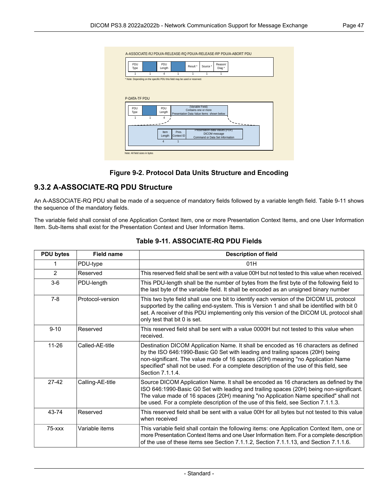<span id="page-46-0"></span>

| PDU<br>Type   |   | PDU<br>Length                                                             |            | Result*                                   | Source *                                         | Reason/<br>Diag <sup>*</sup> |  |  |
|---------------|---|---------------------------------------------------------------------------|------------|-------------------------------------------|--------------------------------------------------|------------------------------|--|--|
|               | 1 | 4                                                                         | 1          | 1                                         | 1                                                |                              |  |  |
|               |   | * Note: Depending on the specific PDU this field may be used or reserved. |            |                                           |                                                  |                              |  |  |
|               |   |                                                                           |            |                                           |                                                  |                              |  |  |
|               |   |                                                                           |            |                                           |                                                  |                              |  |  |
|               |   |                                                                           |            |                                           |                                                  |                              |  |  |
|               |   |                                                                           |            |                                           |                                                  |                              |  |  |
|               |   |                                                                           |            |                                           |                                                  |                              |  |  |
| P-DATA-TF PDU |   |                                                                           |            |                                           |                                                  |                              |  |  |
|               |   |                                                                           |            |                                           |                                                  |                              |  |  |
| PDU           |   | PDU                                                                       |            | (Variable Field)                          |                                                  |                              |  |  |
| Type          |   | Length                                                                    |            | Contains one or more                      |                                                  |                              |  |  |
| 1             | 1 | 4                                                                         |            | Presentation Data Value Items shown below |                                                  |                              |  |  |
|               |   |                                                                           |            |                                           |                                                  |                              |  |  |
|               |   |                                                                           |            |                                           |                                                  |                              |  |  |
|               |   |                                                                           |            |                                           |                                                  |                              |  |  |
|               |   | Item                                                                      | Pres.      |                                           | Presentation-data-Values (PDV)                   |                              |  |  |
|               |   | Length                                                                    | Context ID |                                           | DICOM message<br>Command or Data Set Information |                              |  |  |

#### **Figure 9-2. Protocol Data Units Structure and Encoding**

## **9.3.2 A-ASSOCIATE-RQ PDU Structure**

An A-ASSOCIATE-RQ PDU shall be made of a sequence of mandatory fields followed by a variable length field. [Table](#page-46-1) 9-11 shows the sequence of the mandatory fields.

<span id="page-46-1"></span>The variable field shall consist of one Application Context Item, one or more Presentation Context Items, and one User Information Item. Sub-Items shall exist for the Presentation Context and User Information Items.

| <b>PDU bytes</b> | <b>Field name</b> | <b>Description of field</b>                                                                                                                                                                                                                                                                                                                                           |
|------------------|-------------------|-----------------------------------------------------------------------------------------------------------------------------------------------------------------------------------------------------------------------------------------------------------------------------------------------------------------------------------------------------------------------|
|                  | PDU-type          | 01H                                                                                                                                                                                                                                                                                                                                                                   |
| $\overline{2}$   | Reserved          | This reserved field shall be sent with a value 00H but not tested to this value when received.                                                                                                                                                                                                                                                                        |
| $3-6$            | PDU-length        | This PDU-length shall be the number of bytes from the first byte of the following field to<br>the last byte of the variable field. It shall be encoded as an unsigned binary number                                                                                                                                                                                   |
| $7-8$            | Protocol-version  | This two byte field shall use one bit to identify each version of the DICOM UL protocol<br>supported by the calling end-system. This is Version 1 and shall be identified with bit 0<br>set. A receiver of this PDU implementing only this version of the DICOM UL protocol shall<br>only test that bit 0 is set.                                                     |
| $9 - 10$         | Reserved          | This reserved field shall be sent with a value 0000H but not tested to this value when<br>received.                                                                                                                                                                                                                                                                   |
| $11 - 26$        | Called-AE-title   | Destination DICOM Application Name. It shall be encoded as 16 characters as defined<br>by the ISO 646:1990-Basic G0 Set with leading and trailing spaces (20H) being<br>non-significant. The value made of 16 spaces (20H) meaning "no Application Name<br>specified" shall not be used. For a complete description of the use of this field, see<br>Section 7.1.1.4. |
| $27-42$          | Calling-AE-title  | Source DICOM Application Name. It shall be encoded as 16 characters as defined by the<br>ISO 646:1990-Basic G0 Set with leading and trailing spaces (20H) being non-significant.<br>The value made of 16 spaces (20H) meaning "no Application Name specified" shall not<br>be used. For a complete description of the use of this field, see Section 7.1.1.3.         |
| 43-74            | Reserved          | This reserved field shall be sent with a value 00H for all bytes but not tested to this value<br>when received                                                                                                                                                                                                                                                        |
| $75  xxx$        | Variable items    | This variable field shall contain the following items: one Application Context Item, one or<br>more Presentation Context Items and one User Information Item. For a complete description<br>of the use of these items see Section 7.1.1.2, Section 7.1.1.13, and Section 7.1.1.6.                                                                                     |

#### **Table 9-11. ASSOCIATE-RQ PDU Fields**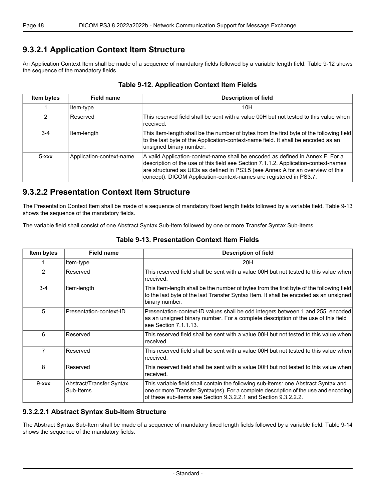## **9.3.2.1 Application Context Item Structure**

<span id="page-47-0"></span>An Application Context Item shall be made of a sequence of mandatory fields followed by a variable length field. [Table](#page-47-0) 9-12 shows the sequence of the mandatory fields.

| Item bytes | <b>Field name</b>        | <b>Description of field</b>                                                                                                                                                                                                                                                                                                    |
|------------|--------------------------|--------------------------------------------------------------------------------------------------------------------------------------------------------------------------------------------------------------------------------------------------------------------------------------------------------------------------------|
|            | Item-type                | 10H                                                                                                                                                                                                                                                                                                                            |
| 2          | ∣Reserved                | This reserved field shall be sent with a value 00H but not tested to this value when<br>received.                                                                                                                                                                                                                              |
| $3-4$      | Item-length              | This Item-length shall be the number of bytes from the first byte of the following field<br>to the last byte of the Application-context-name field. It shall be encoded as an<br>unsigned binary number.                                                                                                                       |
| $5  xxx$   | Application-context-name | A valid Application-context-name shall be encoded as defined in Annex F. For a<br>description of the use of this field see Section 7.1.1.2. Application-context-names<br>are structured as UIDs as defined in PS3.5 (see Annex A for an overview of this<br>concept). DICOM Application-context-names are registered in PS3.7. |

#### **Table 9-12. Application Context Item Fields**

## **9.3.2.2 Presentation Context Item Structure**

<span id="page-47-1"></span>The Presentation Context Item shall be made of a sequence of mandatory fixed length fields followed by a variable field. [Table](#page-47-1) 9-13 shows the sequence of the mandatory fields.

The variable field shall consist of one Abstract Syntax Sub-Item followed by one or more Transfer Syntax Sub-Items.

| Item bytes  | <b>Field name</b>                     | <b>Description of field</b>                                                                                                                                                                                                                  |
|-------------|---------------------------------------|----------------------------------------------------------------------------------------------------------------------------------------------------------------------------------------------------------------------------------------------|
|             | Item-type                             | 20H                                                                                                                                                                                                                                          |
| 2           | Reserved                              | This reserved field shall be sent with a value 00H but not tested to this value when<br>received.                                                                                                                                            |
| $3 - 4$     | Item-length                           | This Item-length shall be the number of bytes from the first byte of the following field<br>to the last byte of the last Transfer Syntax Item. It shall be encoded as an unsigned<br>binary number.                                          |
| 5           | Presentation-context-ID               | Presentation-context-ID values shall be odd integers between 1 and 255, encoded<br>as an unsigned binary number. For a complete description of the use of this field<br>see Section 7.1.1.13.                                                |
| 6           | Reserved                              | This reserved field shall be sent with a value 00H but not tested to this value when<br>received.                                                                                                                                            |
| 7           | Reserved                              | This reserved field shall be sent with a value 00H but not tested to this value when<br>received.                                                                                                                                            |
| 8           | Reserved                              | This reserved field shall be sent with a value 00H but not tested to this value when<br>received.                                                                                                                                            |
| $9 - x x x$ | Abstract/Transfer Syntax<br>Sub-Items | This variable field shall contain the following sub-items: one Abstract Syntax and<br>one or more Transfer Syntax(es). For a complete description of the use and encoding<br>of these sub-items see Section 9.3.2.2.1 and Section 9.3.2.2.2. |

#### **Table 9-13. Presentation Context Item Fields**

### <span id="page-47-2"></span>**9.3.2.2.1 Abstract Syntax Sub-Item Structure**

The Abstract Syntax Sub-Item shall be made of a sequence of mandatory fixed length fields followed by a variable field. [Table](#page-48-1) 9-14 shows the sequence of the mandatory fields.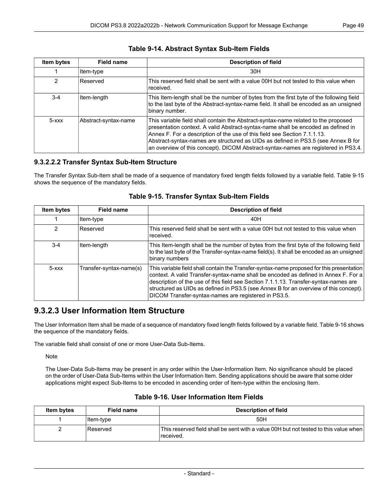<span id="page-48-1"></span>

| Item bytes    | Field name           | <b>Description of field</b>                                                                                                                                                                                                                                                                                                                                                                                                     |
|---------------|----------------------|---------------------------------------------------------------------------------------------------------------------------------------------------------------------------------------------------------------------------------------------------------------------------------------------------------------------------------------------------------------------------------------------------------------------------------|
|               | Item-type            | 30H                                                                                                                                                                                                                                                                                                                                                                                                                             |
| $\mathcal{P}$ | Reserved             | This reserved field shall be sent with a value 00H but not tested to this value when<br>received.                                                                                                                                                                                                                                                                                                                               |
| $3-4$         | Item-length          | This Item-length shall be the number of bytes from the first byte of the following field<br>to the last byte of the Abstract-syntax-name field. It shall be encoded as an unsigned<br>binary number.                                                                                                                                                                                                                            |
| $5 - XXX$     | Abstract-syntax-name | This variable field shall contain the Abstract-syntax-name related to the proposed<br>presentation context. A valid Abstract-syntax-name shall be encoded as defined in<br>Annex F. For a description of the use of this field see Section 7.1.1.13.<br>Abstract-syntax-names are structured as UIDs as defined in PS3.5 (see Annex B for<br>an overview of this concept). DICOM Abstract-syntax-names are registered in PS3.4. |

### **Table 9-14. Abstract Syntax Sub-Item Fields**

### <span id="page-48-0"></span>**9.3.2.2.2 Transfer Syntax Sub-Item Structure**

<span id="page-48-2"></span>The Transfer Syntax Sub-Item shall be made of a sequence of mandatory fixed length fields followed by a variable field. [Table](#page-48-2) 9-15 shows the sequence of the mandatory fields.

| Item bytes    | <b>Field name</b>       | <b>Description of field</b>                                                                                                                                                                                                                                                                                                                                                                                               |
|---------------|-------------------------|---------------------------------------------------------------------------------------------------------------------------------------------------------------------------------------------------------------------------------------------------------------------------------------------------------------------------------------------------------------------------------------------------------------------------|
|               | Item-type               | 40H                                                                                                                                                                                                                                                                                                                                                                                                                       |
| $\mathcal{P}$ | <b>Reserved</b>         | This reserved field shall be sent with a value 00H but not tested to this value when<br>received.                                                                                                                                                                                                                                                                                                                         |
| $3-4$         | Item-lenath             | This Item-length shall be the number of bytes from the first byte of the following field<br>to the last byte of the Transfer-syntax-name field(s). It shall be encoded as an unsigned<br>binary numbers                                                                                                                                                                                                                   |
| $5 - xxx$     | Transfer-syntax-name(s) | This variable field shall contain the Transfer-syntax-name proposed for this presentation<br>context. A valid Transfer-syntax-name shall be encoded as defined in Annex F. For a<br>description of the use of this field see Section 7.1.1.13. Transfer-syntax-names are<br>structured as UIDs as defined in PS3.5 (see Annex B for an overview of this concept).<br>DICOM Transfer-syntax-names are registered in PS3.5. |

#### **Table 9-15. Transfer Syntax Sub-Item Fields**

## **9.3.2.3 User Information Item Structure**

The User Information Item shall be made of a sequence of mandatory fixed length fields followed by a variable field. [Table](#page-48-3) 9-16 shows the sequence of the mandatory fields.

<span id="page-48-3"></span>The variable field shall consist of one or more User-Data Sub-Items.

Note

The User-Data Sub-Items may be present in any order within the User-Information Item. No significance should be placed on the order of User-Data Sub-Items within the User Information Item. Sending applications should be aware that some older applications might expect Sub-Items to be encoded in ascending order of Item-type within the enclosing Item.

| Item bytes | <b>Field name</b> | <b>Description of field</b>                                                                       |
|------------|-------------------|---------------------------------------------------------------------------------------------------|
|            | ∣ltem-t∨pe        | 50H                                                                                               |
|            | Reserved          | This reserved field shall be sent with a value 00H but not tested to this value when<br>received. |

### **Table 9-16. User Information Item Fields**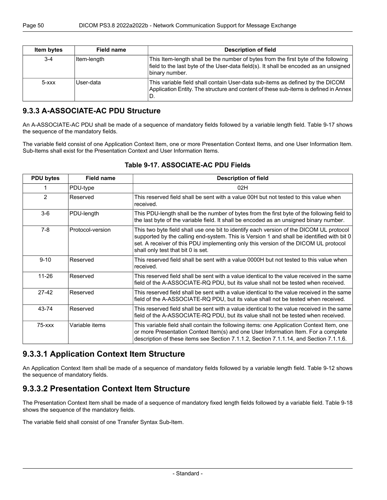| Item bytes | Field name  | <b>Description of field</b>                                                                                                                                                                  |
|------------|-------------|----------------------------------------------------------------------------------------------------------------------------------------------------------------------------------------------|
| $3 - 4$    | Item-length | This Item-length shall be the number of bytes from the first byte of the following<br>field to the last byte of the User-data field(s). It shall be encoded as an unsigned<br>binary number. |
| $5 -$ xxx  | User-data   | This variable field shall contain User-data sub-items as defined by the DICOM<br>Application Entity. The structure and content of these sub-items is defined in Annex<br>D.                  |

## **9.3.3 A-ASSOCIATE-AC PDU Structure**

An A-ASSOCIATE-AC PDU shall be made of a sequence of mandatory fields followed by a variable length field. [Table](#page-49-0) 9-17 shows the sequence of the mandatory fields.

<span id="page-49-0"></span>The variable field consist of one Application Context Item, one or more Presentation Context Items, and one User Information Item. Sub-Items shall exist for the Presentation Context and User Information Items.

| <b>PDU bytes</b> | <b>Field name</b> | <b>Description of field</b>                                                                                                                                                                                                                                                                                       |
|------------------|-------------------|-------------------------------------------------------------------------------------------------------------------------------------------------------------------------------------------------------------------------------------------------------------------------------------------------------------------|
|                  | PDU-type          | 02H                                                                                                                                                                                                                                                                                                               |
| $\mathcal{P}$    | Reserved          | This reserved field shall be sent with a value 00H but not tested to this value when<br>received.                                                                                                                                                                                                                 |
| $3-6$            | PDU-length        | This PDU-length shall be the number of bytes from the first byte of the following field to<br>the last byte of the variable field. It shall be encoded as an unsigned binary number.                                                                                                                              |
| $7-8$            | Protocol-version  | This two byte field shall use one bit to identify each version of the DICOM UL protocol<br>supported by the calling end-system. This is Version 1 and shall be identified with bit 0<br>set. A receiver of this PDU implementing only this version of the DICOM UL protocol<br>shall only test that bit 0 is set. |
| $9 - 10$         | Reserved          | This reserved field shall be sent with a value 0000H but not tested to this value when<br>received.                                                                                                                                                                                                               |
| $11 - 26$        | Reserved          | This reserved field shall be sent with a value identical to the value received in the same<br>field of the A-ASSOCIATE-RQ PDU, but its value shall not be tested when received.                                                                                                                                   |
| $27-42$          | Reserved          | This reserved field shall be sent with a value identical to the value received in the same<br>field of the A-ASSOCIATE-RQ PDU, but its value shall not be tested when received.                                                                                                                                   |
| 43-74            | Reserved          | This reserved field shall be sent with a value identical to the value received in the same<br>field of the A-ASSOCIATE-RQ PDU, but its value shall not be tested when received.                                                                                                                                   |
| $75  xxx$        | Variable items    | This variable field shall contain the following items: one Application Context Item, one<br>or more Presentation Context Item(s) and one User Information Item. For a complete<br>description of these items see Section 7.1.1.2, Section 7.1.1.14, and Section 7.1.1.6.                                          |

### **Table 9-17. ASSOCIATE-AC PDU Fields**

## **9.3.3.1 Application Context Item Structure**

An Application Context Item shall be made of a sequence of mandatory fields followed by a variable length field. [Table](#page-47-0) 9-12 shows the sequence of mandatory fields.

## **9.3.3.2 Presentation Context Item Structure**

The Presentation Context Item shall be made of a sequence of mandatory fixed length fields followed by a variable field. [Table](#page-50-0) 9-18 shows the sequence of the mandatory fields.

The variable field shall consist of one Transfer Syntax Sub-Item.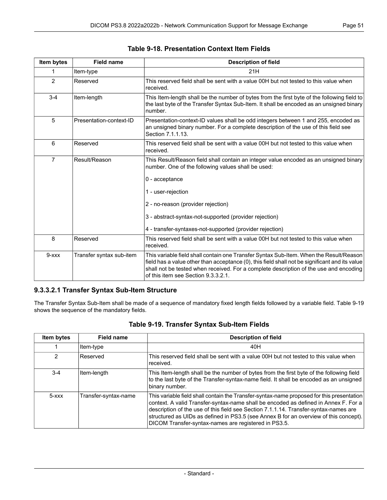<span id="page-50-0"></span>

| Item bytes     | <b>Field name</b>        | <b>Description of field</b>                                                                                                                                                                                                                                                                                                                     |
|----------------|--------------------------|-------------------------------------------------------------------------------------------------------------------------------------------------------------------------------------------------------------------------------------------------------------------------------------------------------------------------------------------------|
| 1              | Item-type                | 21H                                                                                                                                                                                                                                                                                                                                             |
| 2              | Reserved                 | This reserved field shall be sent with a value 00H but not tested to this value when<br>received.                                                                                                                                                                                                                                               |
| $3 - 4$        | Item-length              | This Item-length shall be the number of bytes from the first byte of the following field to<br>the last byte of the Transfer Syntax Sub-Item. It shall be encoded as an unsigned binary<br>number.                                                                                                                                              |
| 5              | Presentation-context-ID  | Presentation-context-ID values shall be odd integers between 1 and 255, encoded as<br>an unsigned binary number. For a complete description of the use of this field see<br>Section 7.1.1.13.                                                                                                                                                   |
| 6              | Reserved                 | This reserved field shall be sent with a value 00H but not tested to this value when<br>received.                                                                                                                                                                                                                                               |
| $\overline{7}$ | Result/Reason            | This Result/Reason field shall contain an integer value encoded as an unsigned binary<br>number. One of the following values shall be used:<br>0 - acceptance<br>1 - user-rejection<br>2 - no-reason (provider rejection)<br>3 - abstract-syntax-not-supported (provider rejection)<br>4 - transfer-syntaxes-not-supported (provider rejection) |
| 8              | Reserved                 | This reserved field shall be sent with a value 00H but not tested to this value when<br>received.                                                                                                                                                                                                                                               |
| $9 - x x x$    | Transfer syntax sub-item | This variable field shall contain one Transfer Syntax Sub-Item. When the Result/Reason<br>field has a value other than acceptance (0), this field shall not be significant and its value<br>shall not be tested when received. For a complete description of the use and encoding<br>of this item see Section 9.3.3.2.1.                        |

### **Table 9-18. Presentation Context Item Fields**

### <span id="page-50-2"></span><span id="page-50-1"></span>**9.3.3.2.1 Transfer Syntax Sub-Item Structure**

The Transfer Syntax Sub-Item shall be made of a sequence of mandatory fixed length fields followed by a variable field. [Table](#page-50-2) 9-19 shows the sequence of the mandatory fields.

| Item bytes | <b>Field name</b>    | <b>Description of field</b>                                                                                                                                                                                                                                                                                                                                                                                               |
|------------|----------------------|---------------------------------------------------------------------------------------------------------------------------------------------------------------------------------------------------------------------------------------------------------------------------------------------------------------------------------------------------------------------------------------------------------------------------|
|            | Item-type            | 40H                                                                                                                                                                                                                                                                                                                                                                                                                       |
| 2          | Reserved             | This reserved field shall be sent with a value 00H but not tested to this value when<br>received.                                                                                                                                                                                                                                                                                                                         |
| $3 - 4$    | Item-length          | This Item-length shall be the number of bytes from the first byte of the following field<br>to the last byte of the Transfer-syntax-name field. It shall be encoded as an unsigned<br>binary number.                                                                                                                                                                                                                      |
| $5 - XXX$  | Transfer-syntax-name | This variable field shall contain the Transfer-syntax-name proposed for this presentation<br>context. A valid Transfer-syntax-name shall be encoded as defined in Annex F. For a<br>description of the use of this field see Section 7.1.1.14. Transfer-syntax-names are<br>structured as UIDs as defined in PS3.5 (see Annex B for an overview of this concept).<br>DICOM Transfer-syntax-names are registered in PS3.5. |

| Table 9-19. Transfer Syntax Sub-Item Fields |  |  |  |  |  |
|---------------------------------------------|--|--|--|--|--|
|---------------------------------------------|--|--|--|--|--|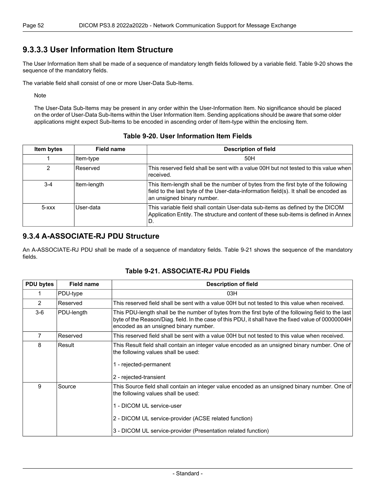## **9.3.3.3 User Information Item Structure**

The User Information Item shall be made of a sequence of mandatory length fields followed by a variable field. [Table](#page-51-0) 9-20 shows the sequence of the mandatory fields.

The variable field shall consist of one or more User-Data Sub-Items.

**Note** 

<span id="page-51-0"></span>The User-Data Sub-Items may be present in any order within the User-Information Item. No significance should be placed on the order of User-Data Sub-Items within the User Information Item. Sending applications should be aware that some older applications might expect Sub-Items to be encoded in ascending order of Item-type within the enclosing Item.

#### **Table 9-20. User Information Item Fields**

| Item bytes      | <b>Field name</b> | <b>Description of field</b>                                                                                                                                                                              |
|-----------------|-------------------|----------------------------------------------------------------------------------------------------------------------------------------------------------------------------------------------------------|
|                 | Item-type         | 50H                                                                                                                                                                                                      |
| 2               | Reserved          | This reserved field shall be sent with a value 00H but not tested to this value when<br>received.                                                                                                        |
| $3 - 4$         | Item-length       | This Item-length shall be the number of bytes from the first byte of the following<br>field to the last byte of the User-data-information field(s). It shall be encoded as<br>an unsigned binary number. |
| $5 - x$ $x$ $x$ | User-data         | This variable field shall contain User-data sub-items as defined by the DICOM<br>Application Entity. The structure and content of these sub-items is defined in Annex<br>ID.                             |

## **9.3.4 A-ASSOCIATE-RJ PDU Structure**

<span id="page-51-1"></span>An A-ASSOCIATE-RJ PDU shall be made of a sequence of mandatory fields. [Table](#page-51-1) 9-21 shows the sequence of the mandatory fields.

| <b>PDU bytes</b> | <b>Field name</b> | <b>Description of field</b>                                                                                                                                                                                                                                                                 |
|------------------|-------------------|---------------------------------------------------------------------------------------------------------------------------------------------------------------------------------------------------------------------------------------------------------------------------------------------|
|                  | PDU-type          | 03H                                                                                                                                                                                                                                                                                         |
| 2                | Reserved          | This reserved field shall be sent with a value 00H but not tested to this value when received.                                                                                                                                                                                              |
| $3-6$            | PDU-length        | This PDU-length shall be the number of bytes from the first byte of the following field to the last<br>byte of the Reason/Diag. field. In the case of this PDU, it shall have the fixed value of 00000004H<br>encoded as an unsigned binary number.                                         |
| $\overline{7}$   | Reserved          | This reserved field shall be sent with a value 00H but not tested to this value when received.                                                                                                                                                                                              |
| 8                | Result            | This Result field shall contain an integer value encoded as an unsigned binary number. One of<br>the following values shall be used:<br>1 - rejected-permanent<br>2 - rejected-transient                                                                                                    |
| 9                | Source            | This Source field shall contain an integer value encoded as an unsigned binary number. One of<br>the following values shall be used:<br>1 - DICOM UL service-user<br>2 - DICOM UL service-provider (ACSE related function)<br>3 - DICOM UL service-provider (Presentation related function) |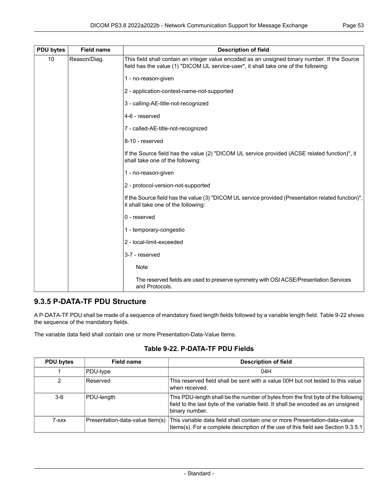| <b>PDU bytes</b> | <b>Field name</b> | <b>Description of field</b>                                                                                                                                                           |
|------------------|-------------------|---------------------------------------------------------------------------------------------------------------------------------------------------------------------------------------|
| 10               | Reason/Diag.      | This field shall contain an integer value encoded as an unsigned binary number. If the Source<br>field has the value (1) "DICOM UL service-user", it shall take one of the following: |
|                  |                   | 1 - no-reason-given                                                                                                                                                                   |
|                  |                   | 2 - application-context-name-not-supported                                                                                                                                            |
|                  |                   | 3 - calling-AE-title-not-recognized                                                                                                                                                   |
|                  |                   | 4-6 - reserved                                                                                                                                                                        |
|                  |                   | 7 - called-AE-title-not-recognized                                                                                                                                                    |
|                  |                   | 8-10 - reserved                                                                                                                                                                       |
|                  |                   | If the Source field has the value (2) "DICOM UL service provided (ACSE related function)", it<br>shall take one of the following:                                                     |
|                  |                   | 1 - no-reason-given                                                                                                                                                                   |
|                  |                   | 2 - protocol-version-not-supported                                                                                                                                                    |
|                  |                   | If the Source field has the value (3) "DICOM UL service provided (Presentation related function)",<br>it shall take one of the following:                                             |
|                  |                   | 0 - reserved                                                                                                                                                                          |
|                  |                   | 1 - temporary-congestio                                                                                                                                                               |
|                  |                   | 2 - local-limit-exceeded                                                                                                                                                              |
|                  |                   | 3-7 - reserved                                                                                                                                                                        |
|                  |                   | Note                                                                                                                                                                                  |
|                  |                   | The reserved fields are used to preserve symmetry with OSI ACSE/Presentation Services<br>and Protocols.                                                                               |

## **9.3.5 P-DATA-TF PDU Structure**

<span id="page-52-0"></span>A P-DATA-TF PDU shall be made of a sequence of mandatory fixed length fields followed by a variable length field. [Table](#page-52-0) 9-22 shows the sequence of the mandatory fields.

The variable data field shall contain one or more Presentation-Data-Value Items.

#### **Table 9-22. P-DATA-TF PDU Fields**

| <b>PDU bytes</b> | <b>Field name</b> | <b>Description of field</b>                                                                                                                                                                     |
|------------------|-------------------|-------------------------------------------------------------------------------------------------------------------------------------------------------------------------------------------------|
|                  | PDU-type          | 04H                                                                                                                                                                                             |
|                  | Reserved          | This reserved field shall be sent with a value 00H but not tested to this value<br>when received.                                                                                               |
| $3-6$            | PDU-length        | This PDU-length shall be the number of bytes from the first byte of the following<br>field to the last byte of the variable field. It shall be encoded as an unsigned<br>binary number.         |
| 7-xxx            |                   | Presentation-data-value Item(s) This variable data field shall contain one or more Presentation-data-value<br>Items(s). For a complete description of the use of this field see Section 9.3.5.1 |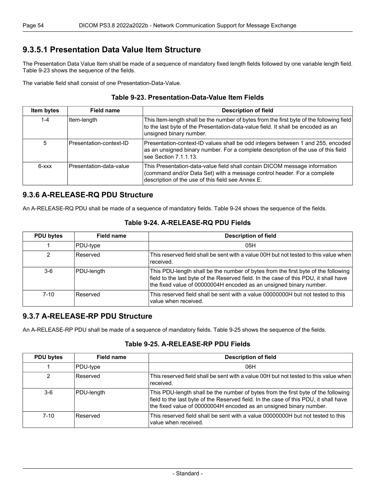## <span id="page-53-0"></span>**9.3.5.1 Presentation Data Value Item Structure**

The Presentation Data Value Item shall be made of a sequence of mandatory fixed length fields followed by one variable length field. [Table](#page-53-1) 9-23 shows the sequence of the fields.

<span id="page-53-1"></span>The variable field shall consist of one Presentation-Data-Value.

| Table 9-23. Presentation-Data-Value Item Fields |  |
|-------------------------------------------------|--|
|-------------------------------------------------|--|

| Item bytes | <b>Field name</b>       | <b>Description of field</b>                                                                                                                                                                                |
|------------|-------------------------|------------------------------------------------------------------------------------------------------------------------------------------------------------------------------------------------------------|
| $1 - 4$    | Item-length             | This Item-length shall be the number of bytes from the first byte of the following field<br>to the last byte of the Presentation-data-value field. It shall be encoded as an<br>unsigned binary number.    |
| 5          | Presentation-context-ID | Presentation-context-ID values shall be odd integers between 1 and 255, encoded<br>as an unsigned binary number. For a complete description of the use of this field<br>see Section 7.1.1.13.              |
| $6 - xxx$  | Presentation-data-value | This Presentation-data-value field shall contain DICOM message information<br>(command and/or Data Set) with a message control header. For a complete<br>description of the use of this field see Annex E. |

## <span id="page-53-2"></span>**9.3.6 A-RELEASE-RQ PDU Structure**

An A-RELEASE-RQ PDU shall be made of a sequence of mandatory fields. [Table](#page-53-2) 9-24 shows the sequence of the fields.

| <b>PDU bytes</b> | Field name | <b>Description of field</b>                                                                                                                                                                                                                     |
|------------------|------------|-------------------------------------------------------------------------------------------------------------------------------------------------------------------------------------------------------------------------------------------------|
|                  | PDU-type   | 05H                                                                                                                                                                                                                                             |
| 2                | Reserved   | This reserved field shall be sent with a value 00H but not tested to this value when<br>received.                                                                                                                                               |
| $3-6$            | PDU-length | This PDU-length shall be the number of bytes from the first byte of the following<br>field to the last byte of the Reserved field. In the case of this PDU, it shall have<br>the fixed value of 00000004H encoded as an unsigned binary number. |
| $7-10$           | Reserved   | This reserved field shall be sent with a value 00000000H but not tested to this<br>value when received.                                                                                                                                         |

#### **Table 9-24. A-RELEASE-RQ PDU Fields**

## <span id="page-53-3"></span>**9.3.7 A-RELEASE-RP PDU Structure**

An A-RELEASE-RP PDU shall be made of a sequence of mandatory fields. [Table](#page-53-3) 9-25 shows the sequence of the fields.

#### **Table 9-25. A-RELEASE-RP PDU Fields**

| <b>PDU bytes</b> | Field name | <b>Description of field</b>                                                                                                                                                                                                                     |
|------------------|------------|-------------------------------------------------------------------------------------------------------------------------------------------------------------------------------------------------------------------------------------------------|
|                  | PDU-type   | 06H                                                                                                                                                                                                                                             |
| 2                | Reserved   | This reserved field shall be sent with a value 00H but not tested to this value when<br>received.                                                                                                                                               |
| 3-6              | PDU-length | This PDU-length shall be the number of bytes from the first byte of the following<br>field to the last byte of the Reserved field. In the case of this PDU, it shall have<br>the fixed value of 00000004H encoded as an unsigned binary number. |
| $7 - 10$         | Reserved   | This reserved field shall be sent with a value 00000000H but not tested to this<br>value when received.                                                                                                                                         |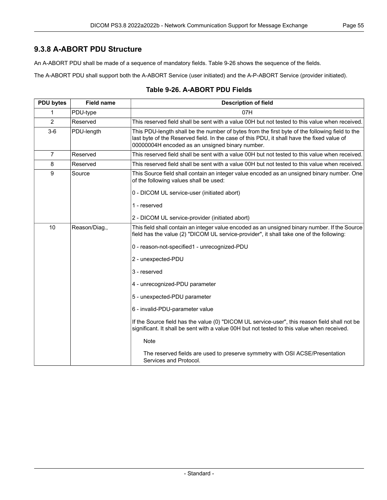## **9.3.8 A-ABORT PDU Structure**

An A-ABORT PDU shall be made of a sequence of mandatory fields. [Table](#page-54-0) 9-26 shows the sequence of the fields.

<span id="page-54-0"></span>The A-ABORT PDU shall support both the A-ABORT Service (user initiated) and the A-P-ABORT Service (provider initiated).

| <b>PDU bytes</b> | <b>Field name</b> | <b>Description of field</b>                                                                                                                                                                                                                     |
|------------------|-------------------|-------------------------------------------------------------------------------------------------------------------------------------------------------------------------------------------------------------------------------------------------|
| 1                | PDU-type          | 07H                                                                                                                                                                                                                                             |
| $\overline{2}$   | Reserved          | This reserved field shall be sent with a value 00H but not tested to this value when received.                                                                                                                                                  |
| $3-6$            | PDU-length        | This PDU-length shall be the number of bytes from the first byte of the following field to the<br>last byte of the Reserved field. In the case of this PDU, it shall have the fixed value of<br>00000004H encoded as an unsigned binary number. |
| $\overline{7}$   | Reserved          | This reserved field shall be sent with a value 00H but not tested to this value when received.                                                                                                                                                  |
| 8                | Reserved          | This reserved field shall be sent with a value 00H but not tested to this value when received.                                                                                                                                                  |
| 9                | Source            | This Source field shall contain an integer value encoded as an unsigned binary number. One<br>of the following values shall be used:                                                                                                            |
|                  |                   | 0 - DICOM UL service-user (initiated abort)                                                                                                                                                                                                     |
|                  |                   | 1 - reserved                                                                                                                                                                                                                                    |
|                  |                   | 2 - DICOM UL service-provider (initiated abort)                                                                                                                                                                                                 |
| 10               | Reason/Diag.,     | This field shall contain an integer value encoded as an unsigned binary number. If the Source<br>field has the value (2) "DICOM UL service-provider", it shall take one of the following:                                                       |
|                  |                   | 0 - reason-not-specified1 - unrecognized-PDU                                                                                                                                                                                                    |
|                  |                   | 2 - unexpected-PDU                                                                                                                                                                                                                              |
|                  |                   | 3 - reserved                                                                                                                                                                                                                                    |
|                  |                   | 4 - unrecognized-PDU parameter                                                                                                                                                                                                                  |
|                  |                   | 5 - unexpected-PDU parameter                                                                                                                                                                                                                    |
|                  |                   | 6 - invalid-PDU-parameter value                                                                                                                                                                                                                 |
|                  |                   | If the Source field has the value (0) "DICOM UL service-user", this reason field shall not be<br>significant. It shall be sent with a value 00H but not tested to this value when received.                                                     |
|                  |                   | <b>Note</b>                                                                                                                                                                                                                                     |
|                  |                   | The reserved fields are used to preserve symmetry with OSI ACSE/Presentation<br>Services and Protocol.                                                                                                                                          |

### **Table 9-26. A-ABORT PDU Fields**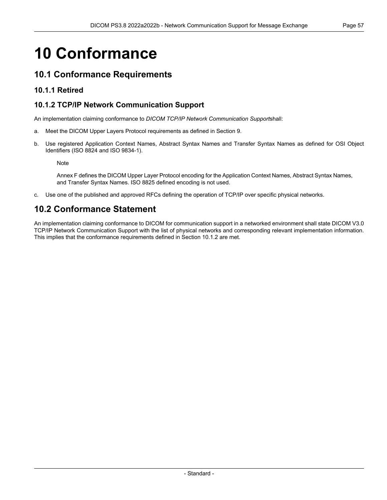# **10 Conformance**

## **10.1 Conformance Requirements**

## <span id="page-56-0"></span>**10.1.1 Retired**

## **10.1.2 TCP/IP Network Communication Support**

An implementation claiming conformance to *DICOM TCP/IP Network Communication Support*shall:

- a. Meet the DICOM Upper Layers Protocol requirements as defined in Section 9.
- b. Use registered Application Context Names, Abstract Syntax Names and Transfer Syntax Names as defined for OSI Object Identifiers (ISO 8824 and ISO 9834-1).

Note

[Annex](#page-68-0) F defines the DICOM Upper Layer Protocol encoding for the Application Context Names, Abstract Syntax Names, and Transfer Syntax Names. ISO 8825 defined encoding is not used.

c. Use one of the published and approved RFCs defining the operation of TCP/IP over specific physical networks.

# **10.2 Conformance Statement**

An implementation claiming conformance to DICOM for communication support in a networked environment shall state DICOM V3.0 TCP/IP Network Communication Support with the list of physical networks and corresponding relevant implementation information. This implies that the conformance requirements defined in [Section](#page-56-0) 10.1.2 are met.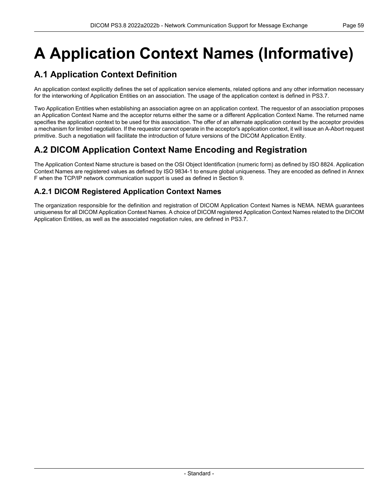# <span id="page-58-0"></span>**A Application Context Names (Informative)**

# **A.1 Application Context Definition**

An application context explicitly defines the set of application service elements, related options and any other information necessary for the interworking of Application Entities on an association. The usage of the application context is defined in [PS3.7](part07.pdf#PS3.7).

Two Application Entities when establishing an association agree on an application context. The requestor of an association proposes an Application Context Name and the acceptor returns either the same or a different Application Context Name. The returned name specifies the application context to be used for this association. The offer of an alternate application context by the acceptor provides a mechanism for limited negotiation. If the requestor cannot operate in the acceptor's application context, it will issue an A-Abort request primitive. Such a negotiation will facilitate the introduction of future versions of the DICOM Application Entity.

# **A.2 DICOM Application Context Name Encoding and Registration**

The Application Context Name structure is based on the OSI Object Identification (numeric form) as defined by ISO 8824. Application Context Names are registered values as defined by ISO 9834-1 to ensure global uniqueness. They are encoded as defined in [Annex](#page-68-0) [F](#page-68-0) when the TCP/IP network communication support is used as defined in Section 9.

## **A.2.1 DICOM Registered Application Context Names**

The organization responsible for the definition and registration of DICOM Application Context Names is NEMA. NEMA guarantees uniqueness for all DICOM Application Context Names. A choice of DICOM registered Application Context Names related to the DICOM Application Entities, as well as the associated negotiation rules, are defined in [PS3.7.](part07.pdf#PS3.7)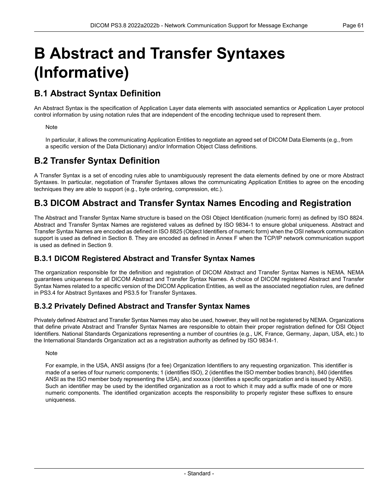# <span id="page-60-0"></span>**B Abstract and Transfer Syntaxes (Informative)**

# **B.1 Abstract Syntax Definition**

An Abstract Syntax is the specification of Application Layer data elements with associated semantics or Application Layer protocol control information by using notation rules that are independent of the encoding technique used to represent them.

#### **Note**

In particular, it allows the communicating Application Entities to negotiate an agreed set of DICOM Data Elements (e.g., from a specific version of the Data Dictionary) and/or Information Object Class definitions.

## **B.2 Transfer Syntax Definition**

A Transfer Syntax is a set of encoding rules able to unambiguously represent the data elements defined by one or more Abstract Syntaxes. In particular, negotiation of Transfer Syntaxes allows the communicating Application Entities to agree on the encoding techniques they are able to support (e.g., byte ordering, compression, etc.).

## **B.3 DICOM Abstract and Transfer Syntax Names Encoding and Registration**

The Abstract and Transfer Syntax Name structure is based on the OSI Object Identification (numeric form) as defined by ISO 8824. Abstract and Transfer Syntax Names are registered values as defined by ISO 9834-1 to ensure global uniqueness. Abstract and Transfer Syntax Names are encoded as defined in ISO 8825 (Object Identifiers of numeric form) when the OSI network communication support is used as defined in Section 8. They are encoded as defined in [Annex](#page-68-0) F when the TCP/IP network communication support is used as defined in Section 9.

## **B.3.1 DICOM Registered Abstract and Transfer Syntax Names**

The organization responsible for the definition and registration of DICOM Abstract and Transfer Syntax Names is NEMA. NEMA guarantees uniqueness for all DICOM Abstract and Transfer Syntax Names. A choice of DICOM registered Abstract and Transfer Syntax Names related to a specific version of the DICOM Application Entities, as well as the associated negotiation rules, are defined in [PS3.4](part04.pdf#PS3.4) for Abstract Syntaxes and [PS3.5](part05.pdf#PS3.5) for Transfer Syntaxes.

## **B.3.2 Privately Defined Abstract and Transfer Syntax Names**

Privately defined Abstract and Transfer Syntax Names may also be used, however, they will not be registered by NEMA. Organizations that define private Abstract and Transfer Syntax Names are responsible to obtain their proper registration defined for OSI Object Identifiers. National Standards Organizations representing a number of countries (e.g., UK, France, Germany, Japan, USA, etc.) to the International Standards Organization act as a registration authority as defined by ISO 9834-1.

#### **Note**

For example, in the USA, ANSI assigns (for a fee) Organization Identifiers to any requesting organization. This identifier is made of a series of four numeric components; 1 (identifies ISO), 2 (identifies the ISO member bodies branch), 840 (identifies ANSI as the ISO member body representing the USA), and xxxxxx (identifies a specific organization and is issued by ANSI). Such an identifier may be used by the identified organization as a root to which it may add a suffix made of one or more numeric components. The identified organization accepts the responsibility to properly register these suffixes to ensure uniqueness.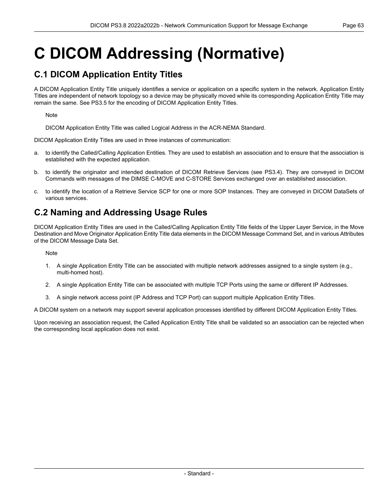# **C DICOM Addressing (Normative)**

## **C.1 DICOM Application Entity Titles**

A DICOM Application Entity Title uniquely identifies a service or application on a specific system in the network. Application Entity Titles are independent of network topology so a device may be physically moved while its corresponding Application Entity Title may remain the same. See [PS3.5](part05.pdf#PS3.5) for the encoding of DICOM Application Entity Titles.

Note

DICOM Application Entity Title was called Logical Address in the ACR-NEMA Standard.

DICOM Application Entity Titles are used in three instances of communication:

- a. to identify the Called/Calling Application Entities. They are used to establish an association and to ensure that the association is established with the expected application.
- b. to identify the originator and intended destination of DICOM Retrieve Services (see [PS3.4](part04.pdf#PS3.4)). They are conveyed in DICOM Commands with messages of the DIMSE C-MOVE and C-STORE Services exchanged over an established association.
- c. to identify the location of a Retrieve Service SCP for one or more SOP Instances. They are conveyed in DICOM DataSets of various services.

## **C.2 Naming and Addressing Usage Rules**

DICOM Application Entity Titles are used in the Called/Calling Application Entity Title fields of the Upper Layer Service, in the Move Destination and Move Originator Application Entity Title data elements in the DICOM Message Command Set, and in various Attributes of the DICOM Message Data Set.

Note

- 1. A single Application Entity Title can be associated with multiple network addresses assigned to a single system (e.g., multi-homed host).
- 2. A single Application Entity Title can be associated with multiple TCP Ports using the same or different IP Addresses.
- 3. A single network access point (IP Address and TCP Port) can support multiple Application Entity Titles.

A DICOM system on a network may support several application processes identified by different DICOM Application Entity Titles.

Upon receiving an association request, the Called Application Entity Title shall be validated so an association can be rejected when the corresponding local application does not exist.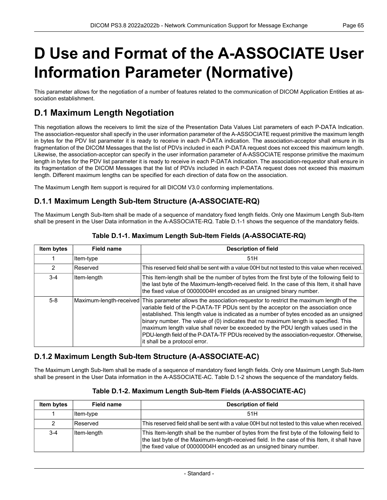# <span id="page-64-0"></span>**D Use and Format of the A-ASSOCIATE User Information Parameter (Normative)**

This parameter allows for the negotiation of a number of features related to the communication of DICOM Application Entities at as sociation establishment.

# **D.1 Maximum Length Negotiation**

This negotiation allows the receivers to limit the size of the Presentation Data Values List parameters of each P-DATA Indication. The association-requestor shall specify in the user information parameter of the A-ASSOCIATE request primitive the maximum length in bytes for the PDV list parameter it is ready to receive in each P-DATA indication. The association-acceptor shall ensure in its fragmentation of the DICOM Messages that the list of PDVs included in each P-DATA request does not exceed this maximum length. Likewise, the association-acceptor can specify in the user information parameter of A-ASSOCIATE response primitive the maximum length in bytes for the PDV list parameter it is ready to receive in each P-DATA indication. The association-requestor shall ensure in its fragmentation of the DICOM Messages that the list of PDVs included in each P-DATA request does not exceed this maximum length. Different maximum lengths can be specified for each direction of data flow on the association.

The Maximum Length Item support is required for all DICOM V3.0 conforming implementations.

## **D.1.1 Maximum Length Sub-Item Structure (A-ASSOCIATE-RQ)**

<span id="page-64-1"></span>The Maximum Length Sub-Item shall be made of a sequence of mandatory fixed length fields. Only one Maximum Length Sub-Item shall be present in the User Data information in the A-ASSOCIATE-RQ. [Table](#page-64-1) D.1-1 shows the sequence of the mandatory fields.

| Item bytes | <b>Field name</b> | <b>Description of field</b>                                                                                                                                                                                                                                                                                                                                                                                                                                                                                                                                                                            |
|------------|-------------------|--------------------------------------------------------------------------------------------------------------------------------------------------------------------------------------------------------------------------------------------------------------------------------------------------------------------------------------------------------------------------------------------------------------------------------------------------------------------------------------------------------------------------------------------------------------------------------------------------------|
|            | Item-type         | 51H                                                                                                                                                                                                                                                                                                                                                                                                                                                                                                                                                                                                    |
| 2          | Reserved          | This reserved field shall be sent with a value 00H but not tested to this value when received.                                                                                                                                                                                                                                                                                                                                                                                                                                                                                                         |
| $3 - 4$    | Item-length       | This Item-length shall be the number of bytes from the first byte of the following field to<br>the last byte of the Maximum-length-received field. In the case of this Item, it shall have<br>the fixed value of 00000004H encoded as an unsigned binary number.                                                                                                                                                                                                                                                                                                                                       |
| $5 - 8$    |                   | Maximum-length-received This parameter allows the association-requestor to restrict the maximum length of the<br>variable field of the P-DATA-TF PDUs sent by the acceptor on the association once<br>established. This length value is indicated as a number of bytes encoded as an unsigned<br>binary number. The value of (0) indicates that no maximum length is specified. This<br>maximum length value shall never be exceeded by the PDU length values used in the<br>PDU-length field of the P-DATA-TF PDUs received by the association-requestor. Otherwise,<br>it shall be a protocol error. |

## **Table D.1-1. Maximum Length Sub-Item Fields (A-ASSOCIATE-RQ)**

## <span id="page-64-2"></span>**D.1.2 Maximum Length Sub-Item Structure (A-ASSOCIATE-AC)**

The Maximum Length Sub-Item shall be made of a sequence of mandatory fixed length fields. Only one Maximum Length Sub-Item shall be present in the User Data information in the A-ASSOCIATE-AC. [Table](#page-64-2) D.1-2 shows the sequence of the mandatory fields.

| <b>Item bytes</b> | Field name  | <b>Description of field</b>                                                                                                                                                                                                                                      |
|-------------------|-------------|------------------------------------------------------------------------------------------------------------------------------------------------------------------------------------------------------------------------------------------------------------------|
|                   | ltem-type   | 51H                                                                                                                                                                                                                                                              |
| 2                 | l Reserved  | This reserved field shall be sent with a value 00H but not tested to this value when received.                                                                                                                                                                   |
| $3 - 4$           | Item-length | This Item-length shall be the number of bytes from the first byte of the following field to<br>the last byte of the Maximum-length-received field. In the case of this Item, it shall have<br>the fixed value of 00000004H encoded as an unsigned binary number. |

### **Table D.1-2. Maximum Length Sub-Item Fields (A-ASSOCIATE-AC)**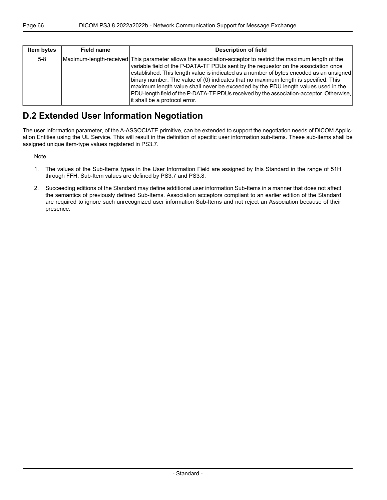| <b>Item bytes</b> | Field name | <b>Description of field</b>                                                                                                                                                                                                                                                                                                                                                                                                                                                                                                                                                                           |
|-------------------|------------|-------------------------------------------------------------------------------------------------------------------------------------------------------------------------------------------------------------------------------------------------------------------------------------------------------------------------------------------------------------------------------------------------------------------------------------------------------------------------------------------------------------------------------------------------------------------------------------------------------|
| $5 - 8$           |            | Maximum-length-received This parameter allows the association-acceptor to restrict the maximum length of the<br>variable field of the P-DATA-TF PDUs sent by the requestor on the association once<br>established. This length value is indicated as a number of bytes encoded as an unsigned<br>binary number. The value of (0) indicates that no maximum length is specified. This<br>maximum length value shall never be exceeded by the PDU length values used in the<br>PDU-length field of the P-DATA-TF PDUs received by the association-acceptor. Otherwise,<br>it shall be a protocol error. |

## **D.2 Extended User Information Negotiation**

The user information parameter, of the A-ASSOCIATE primitive, can be extended to support the negotiation needs of DICOM Applic ation Entities using the UL Service. This will result in the definition of specific user information sub-items. These sub-items shall be assigned unique item-type values registered in [PS3.7](part07.pdf#PS3.7).

Note

- 1. The values of the Sub-Items types in the User Information Field are assigned by this Standard in the range of 51H through FFH. Sub-Item values are defined by [PS3.7](part07.pdf#PS3.7) and [PS3.8](#page-0-0).
- 2. Succeeding editions of the Standard may define additional user information Sub-Items in a manner that does not affect the semantics of previously defined Sub-Items. Association acceptors compliant to an earlier edition of the Standard are required to ignore such unrecognized user information Sub-Items and not reject an Association because of their presence.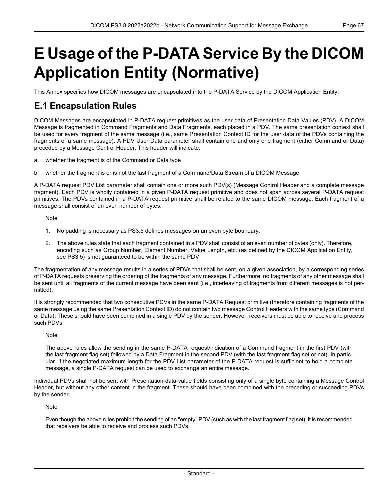# <span id="page-66-0"></span>**E Usage of the P-DATA Service By the DICOM Application Entity (Normative)**

This Annex specifies how DICOM messages are encapsulated into the P-DATA Service by the DICOM Application Entity.

## **E.1 Encapsulation Rules**

DICOM Messages are encapsulated in P-DATA request primitives as the user data of Presentation Data Values (PDV). A DICOM Message is fragmented in Command Fragments and Data Fragments, each placed in a PDV. The same presentation context shall be used for every fragment of the same message (i.e., same Presentation Context ID for the user data of the PDVs containing the fragments of a same message). A PDV User Data parameter shall contain one and only one fragment (either Command or Data) preceded by a Message Control Header. This header will indicate:

- a. whether the fragment is of the Command or Data type
- b. whether the fragment is or is not the last fragment of a Command/Data Stream of a DICOM Message

A P-DATA request PDV List parameter shall contain one or more such PDV(s) (Message Control Header and a complete message fragment). Each PDV is wholly contained in a given P-DATA request primitive and does not span across several P-DATA request primitives. The PDVs contained in a P-DATA request primitive shall be related to the same DICOM message. Each fragment of a message shall consist of an even number of bytes.

Note

- 1. No padding is necessary as [PS3.5](part05.pdf#PS3.5) defines messages on an even byte boundary.
- 2. The above rules state that each fragment contained in a PDV shall consist of an even number of bytes (only). Therefore, encoding such as Group Number, Element Number, Value Length, etc. (as defined by the DICOM Application Entity, see [PS3.5](part05.pdf#PS3.5)) is not guaranteed to be within the same PDV.

The fragmentation of any message results in a series of PDVs that shall be sent, on a given association, by a corresponding series of P-DATA requests preserving the ordering of the fragments of any message. Furthermore, no fragments of any other message shall be sent until all fragments of the current message have been sent (i.e., interleaving of fragments from different messages is not per mitted).

It is strongly recommended that two consecutive PDVs in the same P-DATA Request primitive (therefore containing fragments of the same message using the same Presentation Context ID) do not contain two message Control Headers with the same type (Command or Data). These should have been combined in a single PDV by the sender. However, receivers must be able to receive and process such PDVs.

#### **Note**

The above rules allow the sending in the same P-DATA request/indication of a Command fragment in the first PDV (with the last fragment flag set) followed by a Data Fragment in the second PDV (with the last fragment flag set or not). In partic ular, if the negotiated maximum length for the PDV List parameter of the P-DATA request is sufficient to hold a complete message, a single P-DATA request can be used to exchange an entire message.

Individual PDVs shall not be sent with Presentation-data-value fields consisting only of a single byte containing a Message Control Header, but without any other content in the fragment. These should have been combined with the preceding or succeeding PDVs by the sender.

Note

Even though the above rules prohibit the sending of an "empty" PDV (such as with the last fragment flag set), it is recommended that receivers be able to receive and process such PDVs.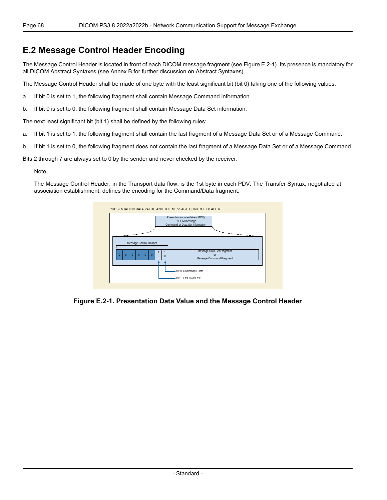## **E.2 Message Control Header Encoding**

The Message Control Header is located in front of each DICOM message fragment (see [Figure](#page-67-0) E.2-1). Its presence is mandatory for all DICOM Abstract Syntaxes (see [Annex](#page-60-0) B for further discussion on Abstract Syntaxes).

The Message Control Header shall be made of one byte with the least significant bit (bit 0) taking one of the following values:

- a. If bit 0 is set to 1, the following fragment shall contain Message Command information.
- b. If bit 0 is set to 0, the following fragment shall contain Message Data Set information.

The next least significant bit (bit 1) shall be defined by the following rules:

- a. If bit 1 is set to 1, the following fragment shall contain the last fragment of a Message Data Set or of a Message Command.
- b. If bit 1 is set to 0, the following fragment does not contain the last fragment of a Message Data Set or of a Message Command.

Bits 2 through 7 are always set to 0 by the sender and never checked by the receiver.

#### Note

<span id="page-67-0"></span>The Message Control Header, in the Transport data flow, is the 1st byte in each PDV. The Transfer Syntax, negotiated at association establishment, defines the encoding for the Command/Data fragment.



**Figure E.2-1. Presentation Data Value and the Message Control Header**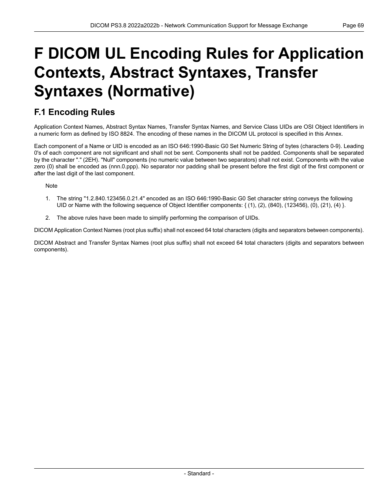# <span id="page-68-0"></span>**F DICOM UL Encoding Rules for Application Contexts, Abstract Syntaxes, Transfer Syntaxes (Normative)**

# **F.1 Encoding Rules**

Application Context Names, Abstract Syntax Names, Transfer Syntax Names, and Service Class UIDs are OSI Object Identifiers in a numeric form as defined by ISO 8824. The encoding of these names in the DICOM UL protocol is specified in this Annex.

Each component of a Name or UID is encoded as an ISO 646:1990-Basic G0 Set Numeric String of bytes (characters 0-9). Leading 0's of each component are not significant and shall not be sent. Components shall not be padded. Components shall be separated by the character "." (2EH). "Null" components (no numeric value between two separators) shall not exist. Components with the value zero (0) shall be encoded as (nnn.0.ppp). No separator nor padding shall be present before the first digit of the first component or after the last digit of the last component.

**Note** 

- 1. The string "1.2.840.123456.0.21.4" encoded as an ISO 646:1990-Basic G0 Set character string conveys the following UID or Name with the following sequence of Object Identifier components: { (1), (2), (840), (123456), (0), (21), (4) }.
- 2. The above rules have been made to simplify performing the comparison of UIDs.

DICOM Application Context Names (root plus suffix) shall not exceed 64 total characters (digits and separators between components).

DICOM Abstract and Transfer Syntax Names (root plus suffix) shall not exceed 64 total characters (digits and separators between components).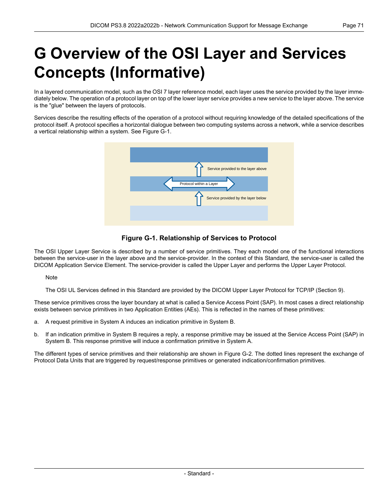# **G Overview of the OSI Layer and Services Concepts (Informative)**

In a layered communication model, such as the OSI 7 layer reference model, each layer uses the service provided by the layer imme diately below. The operation of a protocol layer on top of the lower layer service provides a new service to the layer above. The service is the "glue" between the layers of protocols.

<span id="page-70-0"></span>Services describe the resulting effects of the operation of a protocol without requiring knowledge of the detailed specifications of the protocol itself. A protocol specifies a horizontal dialogue between two computing systems across a network, while a service describes a vertical relationship within a system. See [Figure](#page-70-0) G-1.



## **Figure G-1. Relationship of Services to Protocol**

The OSI Upper Layer Service is described by a number of service primitives. They each model one of the functional interactions between the service-user in the layer above and the service-provider. In the context of this Standard, the service-user is called the DICOM Application Service Element. The service-provider is called the Upper Layer and performs the Upper Layer Protocol.

**Note** 

The OSI UL Services defined in this Standard are provided by the DICOM Upper Layer Protocol for TCP/IP (Section 9).

These service primitives cross the layer boundary at what is called a Service Access Point (SAP). In most cases a direct relationship exists between service primitives in two Application Entities (AEs). This is reflected in the names of these primitives:

- a. A request primitive in System A induces an indication primitive in System B.
- b. If an indication primitive in System B requires a reply, a response primitive may be issued at the Service Access Point (SAP) in System B. This response primitive will induce a confirmation primitive in System A.

The different types of service primitives and their relationship are shown in [Figure](#page-71-0) G-2. The dotted lines represent the exchange of Protocol Data Units that are triggered by request/response primitives or generated indication/confirmation primitives.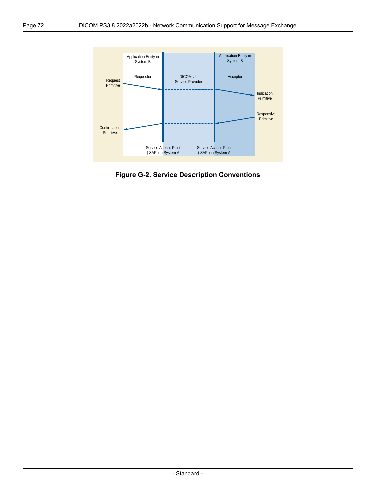<span id="page-71-0"></span>

**Figure G-2. Service Description Conventions**